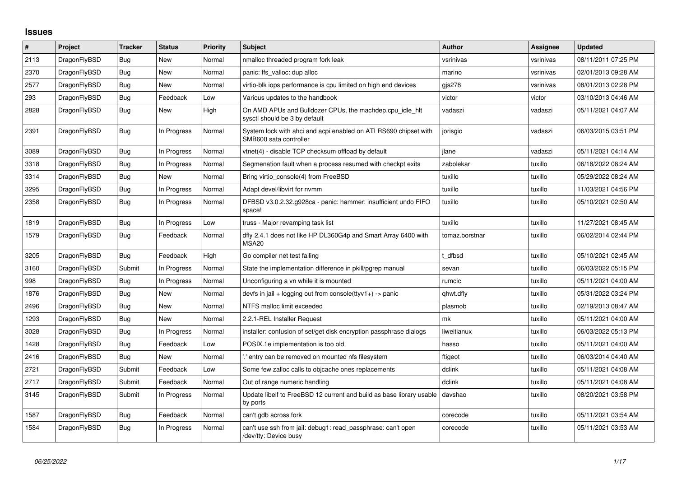## **Issues**

| $\vert$ # | Project      | <b>Tracker</b> | <b>Status</b> | <b>Priority</b> | <b>Subject</b>                                                                             | Author         | Assignee  | <b>Updated</b>      |
|-----------|--------------|----------------|---------------|-----------------|--------------------------------------------------------------------------------------------|----------------|-----------|---------------------|
| 2113      | DragonFlyBSD | Bug            | <b>New</b>    | Normal          | nmalloc threaded program fork leak                                                         | vsrinivas      | vsrinivas | 08/11/2011 07:25 PM |
| 2370      | DragonFlyBSD | Bug            | New           | Normal          | panic: ffs_valloc: dup alloc                                                               | marino         | vsrinivas | 02/01/2013 09:28 AM |
| 2577      | DragonFlyBSD | <b>Bug</b>     | New           | Normal          | virtio-blk iops performance is cpu limited on high end devices                             | gjs278         | vsrinivas | 08/01/2013 02:28 PM |
| 293       | DragonFlyBSD | Bug            | Feedback      | Low             | Various updates to the handbook                                                            | victor         | victor    | 03/10/2013 04:46 AM |
| 2828      | DragonFlyBSD | <b>Bug</b>     | New           | High            | On AMD APUs and Bulldozer CPUs, the machdep.cpu idle hit<br>sysctl should be 3 by default  | vadaszi        | vadaszi   | 05/11/2021 04:07 AM |
| 2391      | DragonFlyBSD | <b>Bug</b>     | In Progress   | Normal          | System lock with ahci and acpi enabled on ATI RS690 chipset with<br>SMB600 sata controller | jorisgio       | vadaszi   | 06/03/2015 03:51 PM |
| 3089      | DragonFlyBSD | <b>Bug</b>     | In Progress   | Normal          | vtnet(4) - disable TCP checksum offload by default                                         | ilane          | vadaszi   | 05/11/2021 04:14 AM |
| 3318      | DragonFlyBSD | Bug            | In Progress   | Normal          | Segmenation fault when a process resumed with checkpt exits                                | zabolekar      | tuxillo   | 06/18/2022 08:24 AM |
| 3314      | DragonFlyBSD | Bug            | <b>New</b>    | Normal          | Bring virtio_console(4) from FreeBSD                                                       | tuxillo        | tuxillo   | 05/29/2022 08:24 AM |
| 3295      | DragonFlyBSD | Bug            | In Progress   | Normal          | Adapt devel/libvirt for nymm                                                               | tuxillo        | tuxillo   | 11/03/2021 04:56 PM |
| 2358      | DragonFlyBSD | <b>Bug</b>     | In Progress   | Normal          | DFBSD v3.0.2.32.g928ca - panic: hammer: insufficient undo FIFO<br>space!                   | tuxillo        | tuxillo   | 05/10/2021 02:50 AM |
| 1819      | DragonFlyBSD | Bug            | In Progress   | Low             | truss - Major revamping task list                                                          | tuxillo        | tuxillo   | 11/27/2021 08:45 AM |
| 1579      | DragonFlyBSD | <b>Bug</b>     | Feedback      | Normal          | dfly 2.4.1 does not like HP DL360G4p and Smart Array 6400 with<br>MSA <sub>20</sub>        | tomaz.borstnar | tuxillo   | 06/02/2014 02:44 PM |
| 3205      | DragonFlyBSD | <b>Bug</b>     | Feedback      | High            | Go compiler net test failing                                                               | t dfbsd        | tuxillo   | 05/10/2021 02:45 AM |
| 3160      | DragonFlyBSD | Submit         | In Progress   | Normal          | State the implementation difference in pkill/pgrep manual                                  | sevan          | tuxillo   | 06/03/2022 05:15 PM |
| 998       | DragonFlyBSD | Bug            | In Progress   | Normal          | Unconfiguring a vn while it is mounted                                                     | rumcic         | tuxillo   | 05/11/2021 04:00 AM |
| 1876      | DragonFlyBSD | Bug            | New           | Normal          | devfs in jail + logging out from console(ttyv1+) -> panic                                  | qhwt.dfly      | tuxillo   | 05/31/2022 03:24 PM |
| 2496      | DragonFlyBSD | Bug            | New           | Normal          | NTFS malloc limit exceeded                                                                 | plasmob        | tuxillo   | 02/19/2013 08:47 AM |
| 1293      | DragonFlyBSD | <b>Bug</b>     | New           | Normal          | 2.2.1-REL Installer Request                                                                | mk             | tuxillo   | 05/11/2021 04:00 AM |
| 3028      | DragonFlyBSD | Bug            | In Progress   | Normal          | installer: confusion of set/get disk encryption passphrase dialogs                         | liweitianux    | tuxillo   | 06/03/2022 05:13 PM |
| 1428      | DragonFlyBSD | <b>Bug</b>     | Feedback      | Low             | POSIX.1e implementation is too old                                                         | hasso          | tuxillo   | 05/11/2021 04:00 AM |
| 2416      | DragonFlyBSD | <b>Bug</b>     | New           | Normal          | ".' entry can be removed on mounted nfs filesystem                                         | ftigeot        | tuxillo   | 06/03/2014 04:40 AM |
| 2721      | DragonFlyBSD | Submit         | Feedback      | Low             | Some few zalloc calls to objcache ones replacements                                        | dclink         | tuxillo   | 05/11/2021 04:08 AM |
| 2717      | DragonFlyBSD | Submit         | Feedback      | Normal          | Out of range numeric handling                                                              | dclink         | tuxillo   | 05/11/2021 04:08 AM |
| 3145      | DragonFlyBSD | Submit         | In Progress   | Normal          | Update libelf to FreeBSD 12 current and build as base library usable<br>by ports           | davshao        | tuxillo   | 08/20/2021 03:58 PM |
| 1587      | DragonFlyBSD | <b>Bug</b>     | Feedback      | Normal          | can't gdb across fork                                                                      | corecode       | tuxillo   | 05/11/2021 03:54 AM |
| 1584      | DragonFlyBSD | Bug            | In Progress   | Normal          | can't use ssh from jail: debug1: read passphrase: can't open<br>/dev/tty: Device busy      | corecode       | tuxillo   | 05/11/2021 03:53 AM |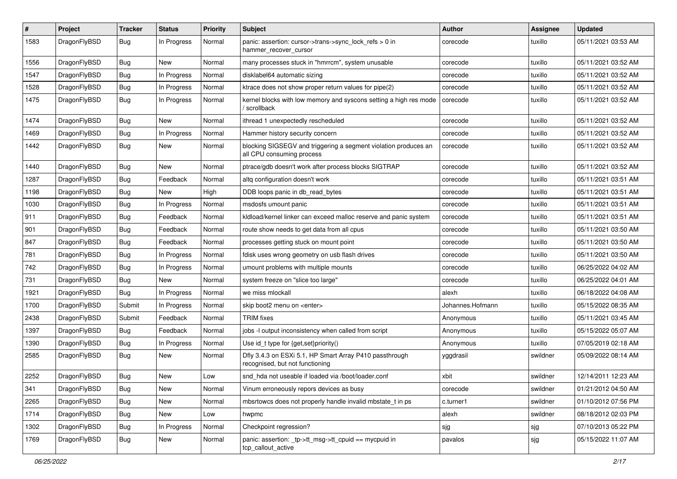| #    | Project      | Tracker    | <b>Status</b> | <b>Priority</b> | Subject                                                                                      | <b>Author</b>    | <b>Assignee</b> | <b>Updated</b>      |
|------|--------------|------------|---------------|-----------------|----------------------------------------------------------------------------------------------|------------------|-----------------|---------------------|
| 1583 | DragonFlyBSD | Bug        | In Progress   | Normal          | panic: assertion: cursor->trans->sync_lock_refs > 0 in<br>hammer_recover_cursor              | corecode         | tuxillo         | 05/11/2021 03:53 AM |
| 1556 | DragonFlyBSD | <b>Bug</b> | <b>New</b>    | Normal          | many processes stuck in "hmrrcm", system unusable                                            | corecode         | tuxillo         | 05/11/2021 03:52 AM |
| 1547 | DragonFlyBSD | Bug        | In Progress   | Normal          | disklabel64 automatic sizing                                                                 | corecode         | tuxillo         | 05/11/2021 03:52 AM |
| 1528 | DragonFlyBSD | <b>Bug</b> | In Progress   | Normal          | ktrace does not show proper return values for pipe(2)                                        | corecode         | tuxillo         | 05/11/2021 03:52 AM |
| 1475 | DragonFlyBSD | <b>Bug</b> | In Progress   | Normal          | kernel blocks with low memory and syscons setting a high res mode<br>' scrollback            | corecode         | tuxillo         | 05/11/2021 03:52 AM |
| 1474 | DragonFlyBSD | Bug        | New           | Normal          | ithread 1 unexpectedly rescheduled                                                           | corecode         | tuxillo         | 05/11/2021 03:52 AM |
| 1469 | DragonFlyBSD | <b>Bug</b> | In Progress   | Normal          | Hammer history security concern                                                              | corecode         | tuxillo         | 05/11/2021 03:52 AM |
| 1442 | DragonFlyBSD | Bug        | New           | Normal          | blocking SIGSEGV and triggering a segment violation produces an<br>all CPU consuming process | corecode         | tuxillo         | 05/11/2021 03:52 AM |
| 1440 | DragonFlyBSD | Bug        | <b>New</b>    | Normal          | ptrace/gdb doesn't work after process blocks SIGTRAP                                         | corecode         | tuxillo         | 05/11/2021 03:52 AM |
| 1287 | DragonFlyBSD | <b>Bug</b> | Feedback      | Normal          | altg configuration doesn't work                                                              | corecode         | tuxillo         | 05/11/2021 03:51 AM |
| 1198 | DragonFlyBSD | <b>Bug</b> | New           | High            | DDB loops panic in db read bytes                                                             | corecode         | tuxillo         | 05/11/2021 03:51 AM |
| 1030 | DragonFlyBSD | <b>Bug</b> | In Progress   | Normal          | msdosfs umount panic                                                                         | corecode         | tuxillo         | 05/11/2021 03:51 AM |
| 911  | DragonFlyBSD | <b>Bug</b> | Feedback      | Normal          | kldload/kernel linker can exceed malloc reserve and panic system                             | corecode         | tuxillo         | 05/11/2021 03:51 AM |
| 901  | DragonFlyBSD | <b>Bug</b> | Feedback      | Normal          | route show needs to get data from all cpus                                                   | corecode         | tuxillo         | 05/11/2021 03:50 AM |
| 847  | DragonFlyBSD | <b>Bug</b> | Feedback      | Normal          | processes getting stuck on mount point                                                       | corecode         | tuxillo         | 05/11/2021 03:50 AM |
| 781  | DragonFlyBSD | <b>Bug</b> | In Progress   | Normal          | fdisk uses wrong geometry on usb flash drives                                                | corecode         | tuxillo         | 05/11/2021 03:50 AM |
| 742  | DragonFlyBSD | Bug        | In Progress   | Normal          | umount problems with multiple mounts                                                         | corecode         | tuxillo         | 06/25/2022 04:02 AM |
| 731  | DragonFlyBSD | <b>Bug</b> | New           | Normal          | system freeze on "slice too large"                                                           | corecode         | tuxillo         | 06/25/2022 04:01 AM |
| 1921 | DragonFlyBSD | <b>Bug</b> | In Progress   | Normal          | we miss mlockall                                                                             | alexh            | tuxillo         | 06/18/2022 04:08 AM |
| 1700 | DragonFlyBSD | Submit     | In Progress   | Normal          | skip boot2 menu on <enter></enter>                                                           | Johannes.Hofmann | tuxillo         | 05/15/2022 08:35 AM |
| 2438 | DragonFlyBSD | Submit     | Feedback      | Normal          | TRIM fixes                                                                                   | Anonymous        | tuxillo         | 05/11/2021 03:45 AM |
| 1397 | DragonFlyBSD | Bug        | Feedback      | Normal          | jobs -I output inconsistency when called from script                                         | Anonymous        | tuxillo         | 05/15/2022 05:07 AM |
| 1390 | DragonFlyBSD | <b>Bug</b> | In Progress   | Normal          | Use id_t type for {get,set}priority()                                                        | Anonymous        | tuxillo         | 07/05/2019 02:18 AM |
| 2585 | DragonFlyBSD | Bug        | <b>New</b>    | Normal          | Dfly 3.4.3 on ESXi 5.1, HP Smart Array P410 passthrough<br>recognised, but not functioning   | yggdrasil        | swildner        | 05/09/2022 08:14 AM |
| 2252 | DragonFlyBSD | <b>Bug</b> | <b>New</b>    | Low             | snd hda not useable if loaded via /boot/loader.conf                                          | xbit             | swildner        | 12/14/2011 12:23 AM |
| 341  | DragonFlyBSD | <b>Bug</b> | New           | Normal          | Vinum erroneously repors devices as busy                                                     | corecode         | swildner        | 01/21/2012 04:50 AM |
| 2265 | DragonFlyBSD | Bug        | New           | Normal          | mbsrtowcs does not properly handle invalid mbstate_t in ps                                   | c.turner1        | swildner        | 01/10/2012 07:56 PM |
| 1714 | DragonFlyBSD | <b>Bug</b> | New           | Low             | hwpmc                                                                                        | alexh            | swildner        | 08/18/2012 02:03 PM |
| 1302 | DragonFlyBSD | <b>Bug</b> | In Progress   | Normal          | Checkpoint regression?                                                                       | sjg              | sjg             | 07/10/2013 05:22 PM |
| 1769 | DragonFlyBSD | <b>Bug</b> | New           | Normal          | panic: assertion: _tp->tt_msg->tt_cpuid == mycpuid in<br>tcp_callout_active                  | pavalos          | sjg             | 05/15/2022 11:07 AM |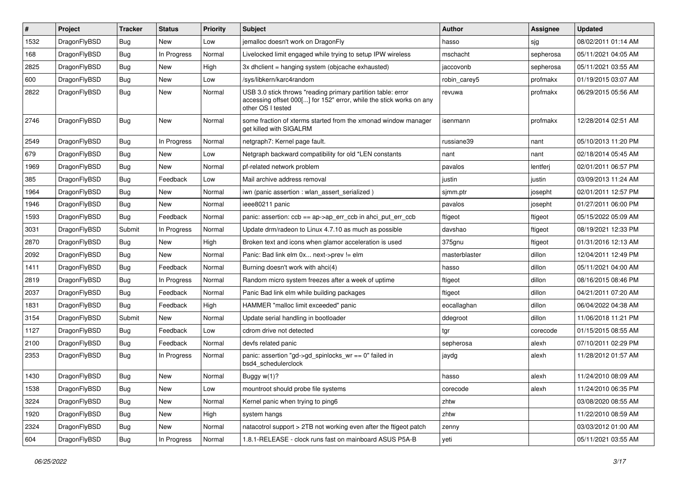| #    | Project      | <b>Tracker</b> | <b>Status</b> | <b>Priority</b> | Subject                                                                                                                                                  | <b>Author</b> | Assignee  | <b>Updated</b>      |
|------|--------------|----------------|---------------|-----------------|----------------------------------------------------------------------------------------------------------------------------------------------------------|---------------|-----------|---------------------|
| 1532 | DragonFlyBSD | <b>Bug</b>     | New           | Low             | jemalloc doesn't work on DragonFly                                                                                                                       | hasso         | sjg       | 08/02/2011 01:14 AM |
| 168  | DragonFlyBSD | Bug            | In Progress   | Normal          | Livelocked limit engaged while trying to setup IPW wireless                                                                                              | mschacht      | sepherosa | 05/11/2021 04:05 AM |
| 2825 | DragonFlyBSD | <b>Bug</b>     | New           | High            | 3x dhclient = hanging system (objcache exhausted)                                                                                                        | iaccovonb     | sepherosa | 05/11/2021 03:55 AM |
| 600  | DragonFlyBSD | <b>Bug</b>     | New           | Low             | /sys/libkern/karc4random                                                                                                                                 | robin carey5  | profmakx  | 01/19/2015 03:07 AM |
| 2822 | DragonFlyBSD | Bug            | <b>New</b>    | Normal          | USB 3.0 stick throws "reading primary partition table: error<br>accessing offset 000[] for 152" error, while the stick works on any<br>other OS I tested | revuwa        | profmakx  | 06/29/2015 05:56 AM |
| 2746 | DragonFlyBSD | <b>Bug</b>     | <b>New</b>    | Normal          | some fraction of xterms started from the xmonad window manager<br>get killed with SIGALRM                                                                | isenmann      | profmakx  | 12/28/2014 02:51 AM |
| 2549 | DragonFlyBSD | Bug            | In Progress   | Normal          | netgraph7: Kernel page fault.                                                                                                                            | russiane39    | nant      | 05/10/2013 11:20 PM |
| 679  | DragonFlyBSD | Bug            | New           | Low             | Netgraph backward compatibility for old *LEN constants                                                                                                   | nant          | nant      | 02/18/2014 05:45 AM |
| 1969 | DragonFlyBSD | <b>Bug</b>     | New           | Normal          | pf-related network problem                                                                                                                               | pavalos       | lentferj  | 02/01/2011 06:57 PM |
| 385  | DragonFlyBSD | <b>Bug</b>     | Feedback      | Low             | Mail archive address removal                                                                                                                             | justin        | justin    | 03/09/2013 11:24 AM |
| 1964 | DragonFlyBSD | <b>Bug</b>     | New           | Normal          | iwn (panic assertion : wlan_assert_serialized)                                                                                                           | sjmm.ptr      | josepht   | 02/01/2011 12:57 PM |
| 1946 | DragonFlyBSD | <b>Bug</b>     | New           | Normal          | ieee80211 panic                                                                                                                                          | pavalos       | josepht   | 01/27/2011 06:00 PM |
| 1593 | DragonFlyBSD | <b>Bug</b>     | Feedback      | Normal          | panic: assertion: $ccb = ap > ap$ err $ccb$ in ahci put err $ccb$                                                                                        | ftigeot       | ftigeot   | 05/15/2022 05:09 AM |
| 3031 | DragonFlyBSD | Submit         | In Progress   | Normal          | Update drm/radeon to Linux 4.7.10 as much as possible                                                                                                    | davshao       | ftigeot   | 08/19/2021 12:33 PM |
| 2870 | DragonFlyBSD | <b>Bug</b>     | New           | High            | Broken text and icons when glamor acceleration is used                                                                                                   | 375gnu        | ftigeot   | 01/31/2016 12:13 AM |
| 2092 | DragonFlyBSD | <b>Bug</b>     | New           | Normal          | Panic: Bad link elm 0x next->prev != elm                                                                                                                 | masterblaster | dillon    | 12/04/2011 12:49 PM |
| 1411 | DragonFlyBSD | <b>Bug</b>     | Feedback      | Normal          | Burning doesn't work with ahci(4)                                                                                                                        | hasso         | dillon    | 05/11/2021 04:00 AM |
| 2819 | DragonFlyBSD | <b>Bug</b>     | In Progress   | Normal          | Random micro system freezes after a week of uptime                                                                                                       | ftigeot       | dillon    | 08/16/2015 08:46 PM |
| 2037 | DragonFlyBSD | <b>Bug</b>     | Feedback      | Normal          | Panic Bad link elm while building packages                                                                                                               | ftigeot       | dillon    | 04/21/2011 07:20 AM |
| 1831 | DragonFlyBSD | <b>Bug</b>     | Feedback      | High            | HAMMER "malloc limit exceeded" panic                                                                                                                     | eocallaghan   | dillon    | 06/04/2022 04:38 AM |
| 3154 | DragonFlyBSD | Submit         | New           | Normal          | Update serial handling in bootloader                                                                                                                     | ddegroot      | dillon    | 11/06/2018 11:21 PM |
| 1127 | DragonFlyBSD | <b>Bug</b>     | Feedback      | Low             | cdrom drive not detected                                                                                                                                 | tgr           | corecode  | 01/15/2015 08:55 AM |
| 2100 | DragonFlyBSD | <b>Bug</b>     | Feedback      | Normal          | devfs related panic                                                                                                                                      | sepherosa     | alexh     | 07/10/2011 02:29 PM |
| 2353 | DragonFlyBSD | <b>Bug</b>     | In Progress   | Normal          | panic: assertion "gd->gd spinlocks $wr == 0$ " failed in<br>bsd4_schedulerclock                                                                          | jaydg         | alexh     | 11/28/2012 01:57 AM |
| 1430 | DragonFlyBSD | <b>Bug</b>     | New           | Normal          | Buggy w(1)?                                                                                                                                              | hasso         | alexh     | 11/24/2010 08:09 AM |
| 1538 | DragonFlyBSD | <b>Bug</b>     | New           | Low             | mountroot should probe file systems                                                                                                                      | corecode      | alexh     | 11/24/2010 06:35 PM |
| 3224 | DragonFlyBSD | <b>Bug</b>     | New           | Normal          | Kernel panic when trying to ping6                                                                                                                        | zhtw          |           | 03/08/2020 08:55 AM |
| 1920 | DragonFlyBSD | <b>Bug</b>     | <b>New</b>    | High            | system hangs                                                                                                                                             | zhtw          |           | 11/22/2010 08:59 AM |
| 2324 | DragonFlyBSD | <b>Bug</b>     | New           | Normal          | natacotrol support > 2TB not working even after the ftigeot patch                                                                                        | zenny         |           | 03/03/2012 01:00 AM |
| 604  | DragonFlyBSD | <b>Bug</b>     | In Progress   | Normal          | 1.8.1-RELEASE - clock runs fast on mainboard ASUS P5A-B                                                                                                  | yeti          |           | 05/11/2021 03:55 AM |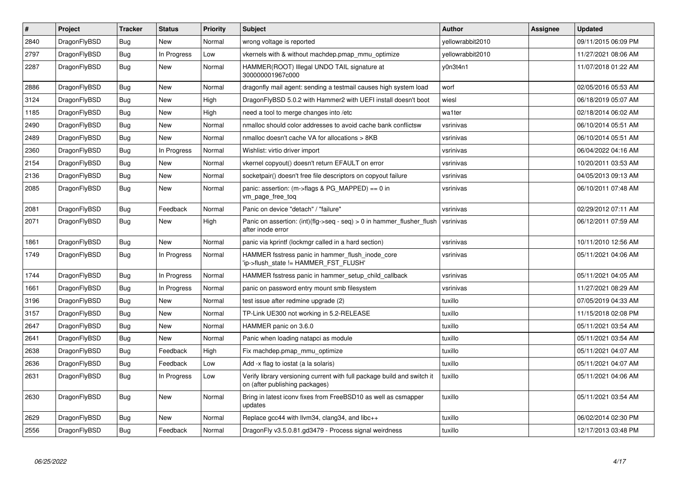| $\pmb{\#}$ | Project      | <b>Tracker</b> | <b>Status</b> | <b>Priority</b> | <b>Subject</b>                                                                                            | <b>Author</b>    | Assignee | Updated             |
|------------|--------------|----------------|---------------|-----------------|-----------------------------------------------------------------------------------------------------------|------------------|----------|---------------------|
| 2840       | DragonFlyBSD | Bug            | <b>New</b>    | Normal          | wrong voltage is reported                                                                                 | vellowrabbit2010 |          | 09/11/2015 06:09 PM |
| 2797       | DragonFlyBSD | Bug            | In Progress   | Low             | vkernels with & without machdep.pmap_mmu_optimize                                                         | yellowrabbit2010 |          | 11/27/2021 08:06 AM |
| 2287       | DragonFlyBSD | Bug            | New           | Normal          | HAMMER(ROOT) Illegal UNDO TAIL signature at<br>300000001967c000                                           | y0n3t4n1         |          | 11/07/2018 01:22 AM |
| 2886       | DragonFlyBSD | Bug            | New           | Normal          | dragonfly mail agent: sending a testmail causes high system load                                          | worf             |          | 02/05/2016 05:53 AM |
| 3124       | DragonFlyBSD | <b>Bug</b>     | New           | High            | DragonFlyBSD 5.0.2 with Hammer2 with UEFI install doesn't boot                                            | wiesl            |          | 06/18/2019 05:07 AM |
| 1185       | DragonFlyBSD | Bug            | <b>New</b>    | High            | need a tool to merge changes into /etc                                                                    | wa1ter           |          | 02/18/2014 06:02 AM |
| 2490       | DragonFlyBSD | <b>Bug</b>     | <b>New</b>    | Normal          | nmalloc should color addresses to avoid cache bank conflictsw                                             | vsrinivas        |          | 06/10/2014 05:51 AM |
| 2489       | DragonFlyBSD | Bug            | <b>New</b>    | Normal          | nmalloc doesn't cache VA for allocations > 8KB                                                            | vsrinivas        |          | 06/10/2014 05:51 AM |
| 2360       | DragonFlyBSD | Bug            | In Progress   | Normal          | Wishlist: virtio driver import                                                                            | vsrinivas        |          | 06/04/2022 04:16 AM |
| 2154       | DragonFlyBSD | Bug            | <b>New</b>    | Normal          | vkernel copyout() doesn't return EFAULT on error                                                          | vsrinivas        |          | 10/20/2011 03:53 AM |
| 2136       | DragonFlyBSD | <b>Bug</b>     | <b>New</b>    | Normal          | socketpair() doesn't free file descriptors on copyout failure                                             | vsrinivas        |          | 04/05/2013 09:13 AM |
| 2085       | DragonFlyBSD | Bug            | <b>New</b>    | Normal          | panic: assertion: $(m\rightarrow$ flags & PG MAPPED) == 0 in<br>vm_page_free_toq                          | vsrinivas        |          | 06/10/2011 07:48 AM |
| 2081       | DragonFlyBSD | Bug            | Feedback      | Normal          | Panic on device "detach" / "failure"                                                                      | vsrinivas        |          | 02/29/2012 07:11 AM |
| 2071       | DragonFlyBSD | <b>Bug</b>     | <b>New</b>    | High            | Panic on assertion: (int)(flg->seq - seq) > 0 in hammer_flusher_flush<br>after inode error                | vsrinivas        |          | 06/12/2011 07:59 AM |
| 1861       | DragonFlyBSD | <b>Bug</b>     | <b>New</b>    | Normal          | panic via kprintf (lockmgr called in a hard section)                                                      | vsrinivas        |          | 10/11/2010 12:56 AM |
| 1749       | DragonFlyBSD | Bug            | In Progress   | Normal          | HAMMER fsstress panic in hammer flush inode core<br>'ip->flush_state != HAMMER_FST_FLUSH'                 | vsrinivas        |          | 05/11/2021 04:06 AM |
| 1744       | DragonFlyBSD | <b>Bug</b>     | In Progress   | Normal          | HAMMER fsstress panic in hammer setup child callback                                                      | vsrinivas        |          | 05/11/2021 04:05 AM |
| 1661       | DragonFlyBSD | <b>Bug</b>     | In Progress   | Normal          | panic on password entry mount smb filesystem                                                              | vsrinivas        |          | 11/27/2021 08:29 AM |
| 3196       | DragonFlyBSD | <b>Bug</b>     | <b>New</b>    | Normal          | test issue after redmine upgrade (2)                                                                      | tuxillo          |          | 07/05/2019 04:33 AM |
| 3157       | DragonFlyBSD | <b>Bug</b>     | New           | Normal          | TP-Link UE300 not working in 5.2-RELEASE                                                                  | tuxillo          |          | 11/15/2018 02:08 PM |
| 2647       | DragonFlyBSD | Bug            | New           | Normal          | HAMMER panic on 3.6.0                                                                                     | tuxillo          |          | 05/11/2021 03:54 AM |
| 2641       | DragonFlyBSD | Bug            | <b>New</b>    | Normal          | Panic when loading natapci as module                                                                      | tuxillo          |          | 05/11/2021 03:54 AM |
| 2638       | DragonFlyBSD | <b>Bug</b>     | Feedback      | High            | Fix machdep.pmap mmu optimize                                                                             | tuxillo          |          | 05/11/2021 04:07 AM |
| 2636       | DragonFlyBSD | Bug            | Feedback      | Low             | Add -x flag to iostat (a la solaris)                                                                      | tuxillo          |          | 05/11/2021 04:07 AM |
| 2631       | DragonFlyBSD | Bug            | In Progress   | Low             | Verify library versioning current with full package build and switch it<br>on (after publishing packages) | tuxillo          |          | 05/11/2021 04:06 AM |
| 2630       | DragonFlyBSD | Bug            | New           | Normal          | Bring in latest iconv fixes from FreeBSD10 as well as csmapper<br>updates                                 | tuxillo          |          | 05/11/2021 03:54 AM |
| 2629       | DragonFlyBSD | Bug            | New           | Normal          | Replace gcc44 with llvm34, clang34, and libc++                                                            | tuxillo          |          | 06/02/2014 02:30 PM |
| 2556       | DragonFlyBSD | Bug            | Feedback      | Normal          | DragonFly v3.5.0.81.gd3479 - Process signal weirdness                                                     | tuxillo          |          | 12/17/2013 03:48 PM |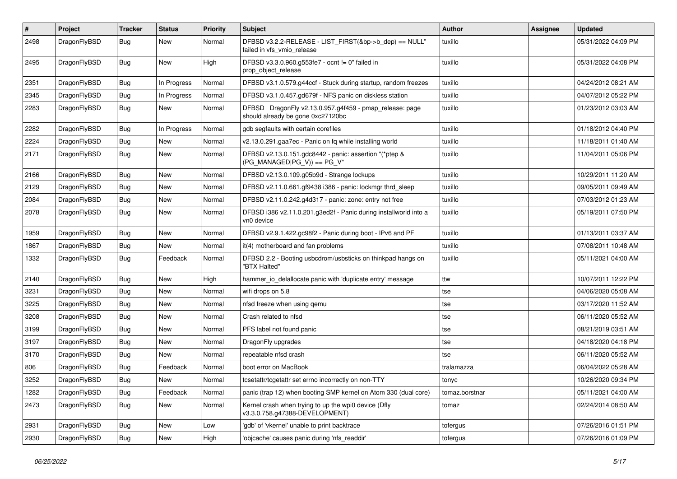| $\pmb{\#}$ | Project      | <b>Tracker</b> | <b>Status</b> | <b>Priority</b> | Subject                                                                                      | Author         | Assignee | <b>Updated</b>      |
|------------|--------------|----------------|---------------|-----------------|----------------------------------------------------------------------------------------------|----------------|----------|---------------------|
| 2498       | DragonFlyBSD | Bug            | New           | Normal          | DFBSD v3.2.2-RELEASE - LIST_FIRST(&bp->b_dep) == NULL"<br>failed in vfs_vmio_release         | tuxillo        |          | 05/31/2022 04:09 PM |
| 2495       | DragonFlyBSD | Bug            | New           | High            | DFBSD v3.3.0.960.g553fe7 - ocnt != 0" failed in<br>prop_object_release                       | tuxillo        |          | 05/31/2022 04:08 PM |
| 2351       | DragonFlyBSD | <b>Bug</b>     | In Progress   | Normal          | DFBSD v3.1.0.579.g44ccf - Stuck during startup, random freezes                               | tuxillo        |          | 04/24/2012 08:21 AM |
| 2345       | DragonFlyBSD | Bug            | In Progress   | Normal          | DFBSD v3.1.0.457.gd679f - NFS panic on diskless station                                      | tuxillo        |          | 04/07/2012 05:22 PM |
| 2283       | DragonFlyBSD | Bug            | New           | Normal          | DFBSD DragonFly v2.13.0.957.g4f459 - pmap_release: page<br>should already be gone 0xc27120bc | tuxillo        |          | 01/23/2012 03:03 AM |
| 2282       | DragonFlyBSD | <b>Bug</b>     | In Progress   | Normal          | gdb segfaults with certain corefiles                                                         | tuxillo        |          | 01/18/2012 04:40 PM |
| 2224       | DragonFlyBSD | Bug            | <b>New</b>    | Normal          | v2.13.0.291.gaa7ec - Panic on fq while installing world                                      | tuxillo        |          | 11/18/2011 01:40 AM |
| 2171       | DragonFlyBSD | <b>Bug</b>     | New           | Normal          | DFBSD v2.13.0.151.gdc8442 - panic: assertion "(*ptep &<br>$(PG_MANAGED PG_V)$ == PG_V"       | tuxillo        |          | 11/04/2011 05:06 PM |
| 2166       | DragonFlyBSD | <b>Bug</b>     | <b>New</b>    | Normal          | DFBSD v2.13.0.109.g05b9d - Strange lockups                                                   | tuxillo        |          | 10/29/2011 11:20 AM |
| 2129       | DragonFlyBSD | <b>Bug</b>     | New           | Normal          | DFBSD v2.11.0.661.gf9438 i386 - panic: lockmgr thrd_sleep                                    | tuxillo        |          | 09/05/2011 09:49 AM |
| 2084       | DragonFlyBSD | Bug            | <b>New</b>    | Normal          | DFBSD v2.11.0.242.g4d317 - panic: zone: entry not free                                       | tuxillo        |          | 07/03/2012 01:23 AM |
| 2078       | DragonFlyBSD | Bug            | New           | Normal          | DFBSD i386 v2.11.0.201.g3ed2f - Panic during installworld into a<br>vn0 device               | tuxillo        |          | 05/19/2011 07:50 PM |
| 1959       | DragonFlyBSD | Bug            | <b>New</b>    | Normal          | DFBSD v2.9.1.422.gc98f2 - Panic during boot - IPv6 and PF                                    | tuxillo        |          | 01/13/2011 03:37 AM |
| 1867       | DragonFlyBSD | <b>Bug</b>     | New           | Normal          | it(4) motherboard and fan problems                                                           | tuxillo        |          | 07/08/2011 10:48 AM |
| 1332       | DragonFlyBSD | Bug            | Feedback      | Normal          | DFBSD 2.2 - Booting usbcdrom/usbsticks on thinkpad hangs on<br>"BTX Halted"                  | tuxillo        |          | 05/11/2021 04:00 AM |
| 2140       | DragonFlyBSD | <b>Bug</b>     | New           | High            | hammer_io_delallocate panic with 'duplicate entry' message                                   | ttw            |          | 10/07/2011 12:22 PM |
| 3231       | DragonFlyBSD | Bug            | <b>New</b>    | Normal          | wifi drops on 5.8                                                                            | tse            |          | 04/06/2020 05:08 AM |
| 3225       | DragonFlyBSD | <b>Bug</b>     | New           | Normal          | nfsd freeze when using gemu                                                                  | tse            |          | 03/17/2020 11:52 AM |
| 3208       | DragonFlyBSD | Bug            | New           | Normal          | Crash related to nfsd                                                                        | tse            |          | 06/11/2020 05:52 AM |
| 3199       | DragonFlyBSD | <b>Bug</b>     | <b>New</b>    | Normal          | PFS label not found panic                                                                    | tse            |          | 08/21/2019 03:51 AM |
| 3197       | DragonFlyBSD | <b>Bug</b>     | New           | Normal          | DragonFly upgrades                                                                           | tse            |          | 04/18/2020 04:18 PM |
| 3170       | DragonFlyBSD | Bug            | New           | Normal          | repeatable nfsd crash                                                                        | tse            |          | 06/11/2020 05:52 AM |
| 806        | DragonFlyBSD | <b>Bug</b>     | Feedback      | Normal          | boot error on MacBook                                                                        | tralamazza     |          | 06/04/2022 05:28 AM |
| 3252       | DragonFlyBSD | Bug            | New           | Normal          | tcsetattr/tcgetattr set errno incorrectly on non-TTY                                         | tonyc          |          | 10/26/2020 09:34 PM |
| 1282       | DragonFlyBSD | Bug            | Feedback      | Normal          | panic (trap 12) when booting SMP kernel on Atom 330 (dual core)                              | tomaz.borstnar |          | 05/11/2021 04:00 AM |
| 2473       | DragonFlyBSD | <b>Bug</b>     | New           | Normal          | Kernel crash when trying to up the wpi0 device (Dfly<br>v3.3.0.758.g47388-DEVELOPMENT)       | tomaz          |          | 02/24/2014 08:50 AM |
| 2931       | DragonFlyBSD | Bug            | New           | Low             | 'gdb' of 'vkernel' unable to print backtrace                                                 | tofergus       |          | 07/26/2016 01:51 PM |
| 2930       | DragonFlyBSD | Bug            | New           | High            | 'objcache' causes panic during 'nfs_readdir'                                                 | tofergus       |          | 07/26/2016 01:09 PM |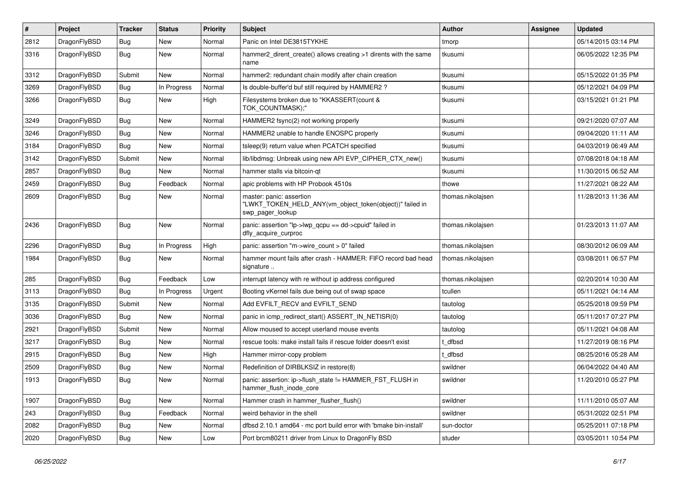| #    | Project      | <b>Tracker</b> | <b>Status</b> | <b>Priority</b> | Subject                                                                                                  | Author            | Assignee | <b>Updated</b>      |
|------|--------------|----------------|---------------|-----------------|----------------------------------------------------------------------------------------------------------|-------------------|----------|---------------------|
| 2812 | DragonFlyBSD | Bug            | <b>New</b>    | Normal          | Panic on Intel DE3815TYKHE                                                                               | tmorp             |          | 05/14/2015 03:14 PM |
| 3316 | DragonFlyBSD | <b>Bug</b>     | <b>New</b>    | Normal          | hammer2 dirent create() allows creating >1 dirents with the same<br>name                                 | tkusumi           |          | 06/05/2022 12:35 PM |
| 3312 | DragonFlyBSD | Submit         | <b>New</b>    | Normal          | hammer2: redundant chain modify after chain creation                                                     | tkusumi           |          | 05/15/2022 01:35 PM |
| 3269 | DragonFlyBSD | Bug            | In Progress   | Normal          | Is double-buffer'd buf still required by HAMMER2 ?                                                       | tkusumi           |          | 05/12/2021 04:09 PM |
| 3266 | DragonFlyBSD | Bug            | <b>New</b>    | High            | Filesystems broken due to "KKASSERT(count &<br>TOK_COUNTMASK);"                                          | tkusumi           |          | 03/15/2021 01:21 PM |
| 3249 | DragonFlyBSD | Bug            | New           | Normal          | HAMMER2 fsync(2) not working properly                                                                    | tkusumi           |          | 09/21/2020 07:07 AM |
| 3246 | DragonFlyBSD | Bug            | New           | Normal          | HAMMER2 unable to handle ENOSPC properly                                                                 | tkusumi           |          | 09/04/2020 11:11 AM |
| 3184 | DragonFlyBSD | Bug            | <b>New</b>    | Normal          | tsleep(9) return value when PCATCH specified                                                             | tkusumi           |          | 04/03/2019 06:49 AM |
| 3142 | DragonFlyBSD | Submit         | New           | Normal          | lib/libdmsg: Unbreak using new API EVP CIPHER CTX new()                                                  | tkusumi           |          | 07/08/2018 04:18 AM |
| 2857 | DragonFlyBSD | Bug            | New           | Normal          | hammer stalls via bitcoin-qt                                                                             | tkusumi           |          | 11/30/2015 06:52 AM |
| 2459 | DragonFlyBSD | Bug            | Feedback      | Normal          | apic problems with HP Probook 4510s                                                                      | thowe             |          | 11/27/2021 08:22 AM |
| 2609 | DragonFlyBSD | <b>Bug</b>     | <b>New</b>    | Normal          | master: panic: assertion<br>"LWKT_TOKEN_HELD_ANY(vm_object_token(object))" failed in<br>swp pager lookup | thomas.nikolajsen |          | 11/28/2013 11:36 AM |
| 2436 | DragonFlyBSD | <b>Bug</b>     | New           | Normal          | panic: assertion "lp->lwp_qcpu == dd->cpuid" failed in<br>dfly_acquire_curproc                           | thomas.nikolajsen |          | 01/23/2013 11:07 AM |
| 2296 | DragonFlyBSD | <b>Bug</b>     | In Progress   | High            | panic: assertion "m->wire_count > 0" failed                                                              | thomas.nikolajsen |          | 08/30/2012 06:09 AM |
| 1984 | DragonFlyBSD | <b>Bug</b>     | New           | Normal          | hammer mount fails after crash - HAMMER: FIFO record bad head<br>signature                               | thomas.nikolajsen |          | 03/08/2011 06:57 PM |
| 285  | DragonFlyBSD | <b>Bug</b>     | Feedback      | Low             | interrupt latency with re without ip address configured                                                  | thomas.nikolajsen |          | 02/20/2014 10:30 AM |
| 3113 | DragonFlyBSD | <b>Bug</b>     | In Progress   | Urgent          | Booting vKernel fails due being out of swap space                                                        | tcullen           |          | 05/11/2021 04:14 AM |
| 3135 | DragonFlyBSD | Submit         | <b>New</b>    | Normal          | Add EVFILT_RECV and EVFILT_SEND                                                                          | tautolog          |          | 05/25/2018 09:59 PM |
| 3036 | DragonFlyBSD | <b>Bug</b>     | New           | Normal          | panic in icmp redirect start() ASSERT IN NETISR(0)                                                       | tautolog          |          | 05/11/2017 07:27 PM |
| 2921 | DragonFlyBSD | Submit         | <b>New</b>    | Normal          | Allow moused to accept userland mouse events                                                             | tautolog          |          | 05/11/2021 04:08 AM |
| 3217 | DragonFlyBSD | <b>Bug</b>     | New           | Normal          | rescue tools: make install fails if rescue folder doesn't exist                                          | t dfbsd           |          | 11/27/2019 08:16 PM |
| 2915 | DragonFlyBSD | <b>Bug</b>     | New           | High            | Hammer mirror-copy problem                                                                               | t dfbsd           |          | 08/25/2016 05:28 AM |
| 2509 | DragonFlyBSD | <b>Bug</b>     | New           | Normal          | Redefinition of DIRBLKSIZ in restore(8)                                                                  | swildner          |          | 06/04/2022 04:40 AM |
| 1913 | DragonFlyBSD | Bug            | <b>New</b>    | Normal          | panic: assertion: ip->flush_state != HAMMER_FST_FLUSH in<br>hammer_flush_inode_core                      | swildner          |          | 11/20/2010 05:27 PM |
| 1907 | DragonFlyBSD | <b>Bug</b>     | New           | Normal          | Hammer crash in hammer flusher flush()                                                                   | swildner          |          | 11/11/2010 05:07 AM |
| 243  | DragonFlyBSD | <b>Bug</b>     | Feedback      | Normal          | weird behavior in the shell                                                                              | swildner          |          | 05/31/2022 02:51 PM |
| 2082 | DragonFlyBSD | <b>Bug</b>     | <b>New</b>    | Normal          | dfbsd 2.10.1 amd64 - mc port build error with 'bmake bin-install'                                        | sun-doctor        |          | 05/25/2011 07:18 PM |
| 2020 | DragonFlyBSD | <b>Bug</b>     | New           | Low             | Port brcm80211 driver from Linux to DragonFly BSD                                                        | studer            |          | 03/05/2011 10:54 PM |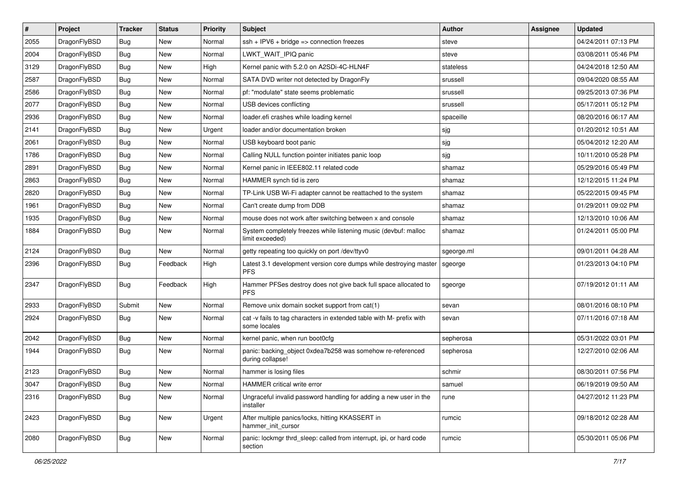| $\sharp$ | Project      | <b>Tracker</b> | <b>Status</b> | <b>Priority</b> | <b>Subject</b>                                                                       | Author     | Assignee | <b>Updated</b>      |
|----------|--------------|----------------|---------------|-----------------|--------------------------------------------------------------------------------------|------------|----------|---------------------|
| 2055     | DragonFlyBSD | <b>Bug</b>     | New           | Normal          | ssh + IPV6 + bridge => connection freezes                                            | steve      |          | 04/24/2011 07:13 PM |
| 2004     | DragonFlyBSD | <b>Bug</b>     | New           | Normal          | LWKT_WAIT_IPIQ panic                                                                 | steve      |          | 03/08/2011 05:46 PM |
| 3129     | DragonFlyBSD | <b>Bug</b>     | New           | High            | Kernel panic with 5.2.0 on A2SDi-4C-HLN4F                                            | stateless  |          | 04/24/2018 12:50 AM |
| 2587     | DragonFlyBSD | <b>Bug</b>     | <b>New</b>    | Normal          | SATA DVD writer not detected by DragonFly                                            | srussell   |          | 09/04/2020 08:55 AM |
| 2586     | DragonFlyBSD | <b>Bug</b>     | <b>New</b>    | Normal          | pf: "modulate" state seems problematic                                               | srussell   |          | 09/25/2013 07:36 PM |
| 2077     | DragonFlyBSD | <b>Bug</b>     | <b>New</b>    | Normal          | USB devices conflicting                                                              | srussell   |          | 05/17/2011 05:12 PM |
| 2936     | DragonFlyBSD | <b>Bug</b>     | New           | Normal          | loader.efi crashes while loading kernel                                              | spaceille  |          | 08/20/2016 06:17 AM |
| 2141     | DragonFlyBSD | <b>Bug</b>     | <b>New</b>    | Urgent          | loader and/or documentation broken                                                   | sjg        |          | 01/20/2012 10:51 AM |
| 2061     | DragonFlyBSD | <b>Bug</b>     | New           | Normal          | USB keyboard boot panic                                                              | sjg        |          | 05/04/2012 12:20 AM |
| 1786     | DragonFlyBSD | <b>Bug</b>     | <b>New</b>    | Normal          | Calling NULL function pointer initiates panic loop                                   | sjg        |          | 10/11/2010 05:28 PM |
| 2891     | DragonFlyBSD | <b>Bug</b>     | New           | Normal          | Kernel panic in IEEE802.11 related code                                              | shamaz     |          | 05/29/2016 05:49 PM |
| 2863     | DragonFlyBSD | <b>Bug</b>     | <b>New</b>    | Normal          | HAMMER synch tid is zero                                                             | shamaz     |          | 12/12/2015 11:24 PM |
| 2820     | DragonFlyBSD | Bug            | <b>New</b>    | Normal          | TP-Link USB Wi-Fi adapter cannot be reattached to the system                         | shamaz     |          | 05/22/2015 09:45 PM |
| 1961     | DragonFlyBSD | <b>Bug</b>     | New           | Normal          | Can't create dump from DDB                                                           | shamaz     |          | 01/29/2011 09:02 PM |
| 1935     | DragonFlyBSD | Bug            | New           | Normal          | mouse does not work after switching between x and console                            | shamaz     |          | 12/13/2010 10:06 AM |
| 1884     | DragonFlyBSD | <b>Bug</b>     | New           | Normal          | System completely freezes while listening music (devbuf: malloc<br>limit exceeded)   | shamaz     |          | 01/24/2011 05:00 PM |
| 2124     | DragonFlyBSD | Bug            | New           | Normal          | getty repeating too quickly on port /dev/ttyv0                                       | sgeorge.ml |          | 09/01/2011 04:28 AM |
| 2396     | DragonFlyBSD | <b>Bug</b>     | Feedback      | High            | Latest 3.1 development version core dumps while destroying master<br><b>PFS</b>      | sgeorge    |          | 01/23/2013 04:10 PM |
| 2347     | DragonFlyBSD | Bug            | Feedback      | High            | Hammer PFSes destroy does not give back full space allocated to<br><b>PFS</b>        | sgeorge    |          | 07/19/2012 01:11 AM |
| 2933     | DragonFlyBSD | Submit         | <b>New</b>    | Normal          | Remove unix domain socket support from cat(1)                                        | sevan      |          | 08/01/2016 08:10 PM |
| 2924     | DragonFlyBSD | Bug            | New           | Normal          | cat -v fails to tag characters in extended table with M- prefix with<br>some locales | sevan      |          | 07/11/2016 07:18 AM |
| 2042     | DragonFlyBSD | Bug            | <b>New</b>    | Normal          | kernel panic, when run boot0cfg                                                      | sepherosa  |          | 05/31/2022 03:01 PM |
| 1944     | DragonFlyBSD | <b>Bug</b>     | New           | Normal          | panic: backing object 0xdea7b258 was somehow re-referenced<br>during collapse!       | sepherosa  |          | 12/27/2010 02:06 AM |
| 2123     | DragonFlyBSD | Bug            | New           | Normal          | hammer is losing files                                                               | schmir     |          | 08/30/2011 07:56 PM |
| 3047     | DragonFlyBSD | <b>Bug</b>     | I New         | Normal          | HAMMER critical write error                                                          | samuel     |          | 06/19/2019 09:50 AM |
| 2316     | DragonFlyBSD | <b>Bug</b>     | New           | Normal          | Ungraceful invalid password handling for adding a new user in the<br>installer       | rune       |          | 04/27/2012 11:23 PM |
| 2423     | DragonFlyBSD | <b>Bug</b>     | <b>New</b>    | Urgent          | After multiple panics/locks, hitting KKASSERT in<br>hammer init cursor               | rumcic     |          | 09/18/2012 02:28 AM |
| 2080     | DragonFlyBSD | <b>Bug</b>     | New           | Normal          | panic: lockmgr thrd_sleep: called from interrupt, ipi, or hard code<br>section       | rumcic     |          | 05/30/2011 05:06 PM |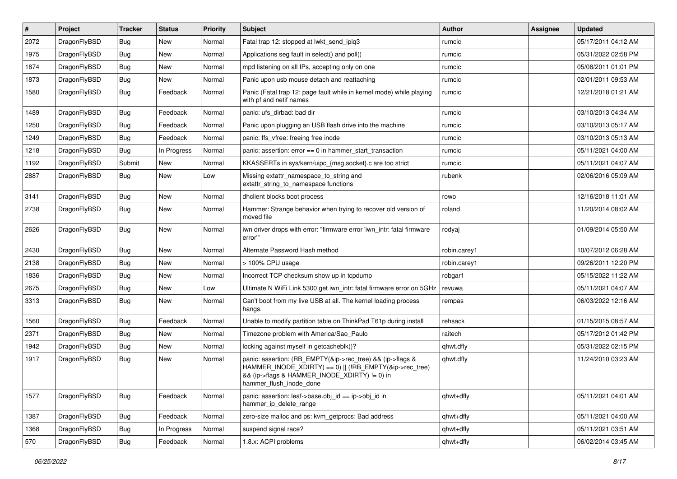| #    | Project      | <b>Tracker</b> | <b>Status</b> | <b>Priority</b> | <b>Subject</b>                                                                                                                                                                                    | <b>Author</b> | Assignee | <b>Updated</b>      |
|------|--------------|----------------|---------------|-----------------|---------------------------------------------------------------------------------------------------------------------------------------------------------------------------------------------------|---------------|----------|---------------------|
| 2072 | DragonFlyBSD | Bug            | <b>New</b>    | Normal          | Fatal trap 12: stopped at lwkt_send_ipiq3                                                                                                                                                         | rumcic        |          | 05/17/2011 04:12 AM |
| 1975 | DragonFlyBSD | <b>Bug</b>     | New           | Normal          | Applications seg fault in select() and poll()                                                                                                                                                     | rumcic        |          | 05/31/2022 02:58 PM |
| 1874 | DragonFlyBSD | Bug            | New           | Normal          | mpd listening on all IPs, accepting only on one                                                                                                                                                   | rumcic        |          | 05/08/2011 01:01 PM |
| 1873 | DragonFlyBSD | Bug            | New           | Normal          | Panic upon usb mouse detach and reattaching                                                                                                                                                       | rumcic        |          | 02/01/2011 09:53 AM |
| 1580 | DragonFlyBSD | <b>Bug</b>     | Feedback      | Normal          | Panic (Fatal trap 12: page fault while in kernel mode) while playing<br>with pf and netif names                                                                                                   | rumcic        |          | 12/21/2018 01:21 AM |
| 1489 | DragonFlyBSD | <b>Bug</b>     | Feedback      | Normal          | panic: ufs dirbad: bad dir                                                                                                                                                                        | rumcic        |          | 03/10/2013 04:34 AM |
| 1250 | DragonFlyBSD | Bug            | Feedback      | Normal          | Panic upon plugging an USB flash drive into the machine                                                                                                                                           | rumcic        |          | 03/10/2013 05:17 AM |
| 1249 | DragonFlyBSD | Bug            | Feedback      | Normal          | panic: ffs vfree: freeing free inode                                                                                                                                                              | rumcic        |          | 03/10/2013 05:13 AM |
| 1218 | DragonFlyBSD | <b>Bug</b>     | In Progress   | Normal          | panic: assertion: error == 0 in hammer start transaction                                                                                                                                          | rumcic        |          | 05/11/2021 04:00 AM |
| 1192 | DragonFlyBSD | Submit         | New           | Normal          | KKASSERTs in sys/kern/uipc_{msg,socket}.c are too strict                                                                                                                                          | rumcic        |          | 05/11/2021 04:07 AM |
| 2887 | DragonFlyBSD | Bug            | New           | Low             | Missing extattr_namespace_to_string and<br>extattr_string_to_namespace functions                                                                                                                  | rubenk        |          | 02/06/2016 05:09 AM |
| 3141 | DragonFlyBSD | <b>Bug</b>     | New           | Normal          | dhclient blocks boot process                                                                                                                                                                      | rowo          |          | 12/16/2018 11:01 AM |
| 2738 | DragonFlyBSD | <b>Bug</b>     | New           | Normal          | Hammer: Strange behavior when trying to recover old version of<br>moved file                                                                                                                      | roland        |          | 11/20/2014 08:02 AM |
| 2626 | DragonFlyBSD | <b>Bug</b>     | New           | Normal          | iwn driver drops with error: "firmware error 'iwn intr: fatal firmware<br>error"                                                                                                                  | rodyaj        |          | 01/09/2014 05:50 AM |
| 2430 | DragonFlyBSD | <b>Bug</b>     | New           | Normal          | Alternate Password Hash method                                                                                                                                                                    | robin.carey1  |          | 10/07/2012 06:28 AM |
| 2138 | DragonFlyBSD | Bug            | New           | Normal          | > 100% CPU usage                                                                                                                                                                                  | robin.carey1  |          | 09/26/2011 12:20 PM |
| 1836 | DragonFlyBSD | Bug            | New           | Normal          | Incorrect TCP checksum show up in tcpdump                                                                                                                                                         | robgar1       |          | 05/15/2022 11:22 AM |
| 2675 | DragonFlyBSD | Bug            | New           | Low             | Ultimate N WiFi Link 5300 get iwn intr: fatal firmware error on 5GHz                                                                                                                              | revuwa        |          | 05/11/2021 04:07 AM |
| 3313 | DragonFlyBSD | <b>Bug</b>     | New           | Normal          | Can't boot from my live USB at all. The kernel loading process<br>hangs.                                                                                                                          | rempas        |          | 06/03/2022 12:16 AM |
| 1560 | DragonFlyBSD | <b>Bug</b>     | Feedback      | Normal          | Unable to modify partition table on ThinkPad T61p during install                                                                                                                                  | rehsack       |          | 01/15/2015 08:57 AM |
| 2371 | DragonFlyBSD | <b>Bug</b>     | New           | Normal          | Timezone problem with America/Sao_Paulo                                                                                                                                                           | raitech       |          | 05/17/2012 01:42 PM |
| 1942 | DragonFlyBSD | Bug            | New           | Normal          | locking against myself in getcacheblk()?                                                                                                                                                          | qhwt.dfly     |          | 05/31/2022 02:15 PM |
| 1917 | DragonFlyBSD | Bug            | New           | Normal          | panic: assertion: (RB_EMPTY(&ip->rec_tree) && (ip->flags &<br>HAMMER_INODE_XDIRTY) == 0)    (!RB_EMPTY(&ip->rec_tree)<br>&& (ip->flags & HAMMER_INODE_XDIRTY) != 0) in<br>hammer_flush_inode_done | qhwt.dfly     |          | 11/24/2010 03:23 AM |
| 1577 | DragonFlyBSD | <b>Bug</b>     | Feedback      | Normal          | panic: assertion: leaf->base.obj id == ip->obj id in<br>hammer_ip_delete_range                                                                                                                    | qhwt+dfly     |          | 05/11/2021 04:01 AM |
| 1387 | DragonFlyBSD | <b>Bug</b>     | Feedback      | Normal          | zero-size malloc and ps: kvm_getprocs: Bad address                                                                                                                                                | qhwt+dfly     |          | 05/11/2021 04:00 AM |
| 1368 | DragonFlyBSD | <b>Bug</b>     | In Progress   | Normal          | suspend signal race?                                                                                                                                                                              | qhwt+dfly     |          | 05/11/2021 03:51 AM |
| 570  | DragonFlyBSD | <b>Bug</b>     | Feedback      | Normal          | 1.8.x: ACPI problems                                                                                                                                                                              | qhwt+dfly     |          | 06/02/2014 03:45 AM |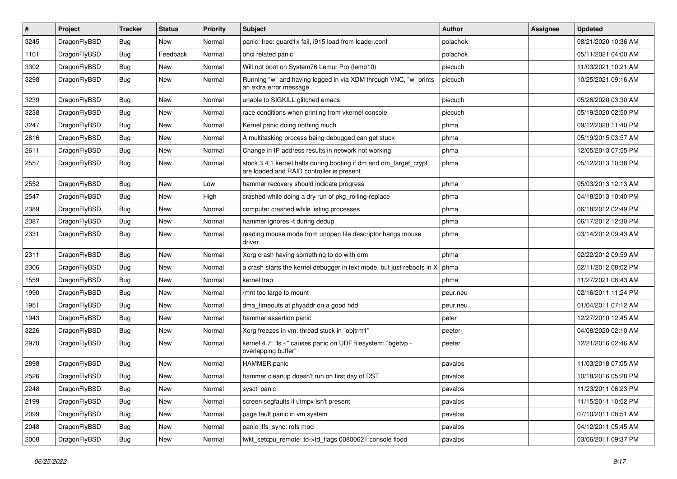| #    | Project      | <b>Tracker</b> | <b>Status</b> | <b>Priority</b> | Subject                                                                                                        | Author   | <b>Assignee</b> | <b>Updated</b>      |
|------|--------------|----------------|---------------|-----------------|----------------------------------------------------------------------------------------------------------------|----------|-----------------|---------------------|
| 3245 | DragonFlyBSD | Bug            | New           | Normal          | panic: free: guard1x fail, i915 load from loader.conf                                                          | polachok |                 | 08/21/2020 10:36 AM |
| 1101 | DragonFlyBSD | <b>Bug</b>     | Feedback      | Normal          | ohci related panic                                                                                             | polachok |                 | 05/11/2021 04:00 AM |
| 3302 | DragonFlyBSD | <b>Bug</b>     | New           | Normal          | Will not boot on System76 Lemur Pro (lemp10)                                                                   | piecuch  |                 | 11/03/2021 10:21 AM |
| 3298 | DragonFlyBSD | Bug            | New           | Normal          | Running "w" and having logged in via XDM through VNC, "w" prints<br>an extra error message                     | piecuch  |                 | 10/25/2021 09:16 AM |
| 3239 | DragonFlyBSD | <b>Bug</b>     | <b>New</b>    | Normal          | unable to SIGKILL glitched emacs                                                                               | piecuch  |                 | 05/26/2020 03:30 AM |
| 3238 | DragonFlyBSD | <b>Bug</b>     | <b>New</b>    | Normal          | race conditions when printing from vkernel console                                                             | piecuch  |                 | 05/19/2020 02:50 PM |
| 3247 | DragonFlyBSD | <b>Bug</b>     | New           | Normal          | Kernel panic doing nothing much                                                                                | phma     |                 | 09/12/2020 11:40 PM |
| 2816 | DragonFlyBSD | Bug            | New           | Normal          | A multitasking process being debugged can get stuck                                                            | phma     |                 | 05/19/2015 03:57 AM |
| 2611 | DragonFlyBSD | Bug            | <b>New</b>    | Normal          | Change in IP address results in network not working                                                            | phma     |                 | 12/05/2013 07:55 PM |
| 2557 | DragonFlyBSD | <b>Bug</b>     | New           | Normal          | stock 3.4.1 kernel halts during booting if dm and dm_target_crypt<br>are loaded and RAID controller is present | phma     |                 | 05/12/2013 10:38 PM |
| 2552 | DragonFlyBSD | Bug            | New           | Low             | hammer recovery should indicate progress                                                                       | phma     |                 | 05/03/2013 12:13 AM |
| 2547 | DragonFlyBSD | <b>Bug</b>     | <b>New</b>    | High            | crashed while doing a dry run of pkg rolling-replace                                                           | phma     |                 | 04/18/2013 10:40 PM |
| 2389 | DragonFlyBSD | <b>Bug</b>     | <b>New</b>    | Normal          | computer crashed while listing processes                                                                       | phma     |                 | 06/18/2012 02:49 PM |
| 2387 | DragonFlyBSD | <b>Bug</b>     | New           | Normal          | hammer ignores -t during dedup                                                                                 | phma     |                 | 06/17/2012 12:30 PM |
| 2331 | DragonFlyBSD | Bug            | New           | Normal          | reading mouse mode from unopen file descriptor hangs mouse<br>driver                                           | phma     |                 | 03/14/2012 09:43 AM |
| 2311 | DragonFlyBSD | <b>Bug</b>     | New           | Normal          | Xorg crash having something to do with drm                                                                     | phma     |                 | 02/22/2012 09:59 AM |
| 2306 | DragonFlyBSD | Bug            | <b>New</b>    | Normal          | a crash starts the kernel debugger in text mode, but just reboots in X                                         | phma     |                 | 02/11/2012 08:02 PM |
| 1559 | DragonFlyBSD | <b>Bug</b>     | New           | Normal          | kernel trap                                                                                                    | phma     |                 | 11/27/2021 08:43 AM |
| 1990 | DragonFlyBSD | Bug            | <b>New</b>    | Normal          | /mnt too large to mount                                                                                        | peur.neu |                 | 02/16/2011 11:24 PM |
| 1951 | DragonFlyBSD | <b>Bug</b>     | <b>New</b>    | Normal          | dma_timeouts at phyaddr on a good hdd                                                                          | peur.neu |                 | 01/04/2011 07:12 AM |
| 1943 | DragonFlyBSD | Bug            | New           | Normal          | hammer assertion panic                                                                                         | peter    |                 | 12/27/2010 12:45 AM |
| 3226 | DragonFlyBSD | Bug            | New           | Normal          | Xorg freezes in vm: thread stuck in "objtrm1"                                                                  | peeter   |                 | 04/08/2020 02:10 AM |
| 2970 | DragonFlyBSD | Bug            | New           | Normal          | kernel 4.7: "Is -I" causes panic on UDF filesystem: "bgetvp -<br>overlapping buffer"                           | peeter   |                 | 12/21/2016 02:46 AM |
| 2898 | DragonFlyBSD | Bug            | <b>New</b>    | Normal          | <b>HAMMER</b> panic                                                                                            | pavalos  |                 | 11/03/2018 07:05 AM |
| 2526 | DragonFlyBSD | <b>Bug</b>     | New           | Normal          | hammer cleanup doesn't run on first day of DST                                                                 | pavalos  |                 | 10/18/2016 05:28 PM |
| 2248 | DragonFlyBSD | <b>Bug</b>     | New           | Normal          | sysctl panic                                                                                                   | pavalos  |                 | 11/23/2011 06:23 PM |
| 2199 | DragonFlyBSD | <b>Bug</b>     | New           | Normal          | screen segfaults if utmpx isn't present                                                                        | pavalos  |                 | 11/15/2011 10:52 PM |
| 2099 | DragonFlyBSD | <b>Bug</b>     | New           | Normal          | page fault panic in vm system                                                                                  | pavalos  |                 | 07/10/2011 08:51 AM |
| 2048 | DragonFlyBSD | <b>Bug</b>     | New           | Normal          | panic: ffs_sync: rofs mod                                                                                      | pavalos  |                 | 04/12/2011 05:45 AM |
| 2008 | DragonFlyBSD | <b>Bug</b>     | New           | Normal          | lwkt setcpu remote: td->td flags 00800621 console flood                                                        | pavalos  |                 | 03/06/2011 09:37 PM |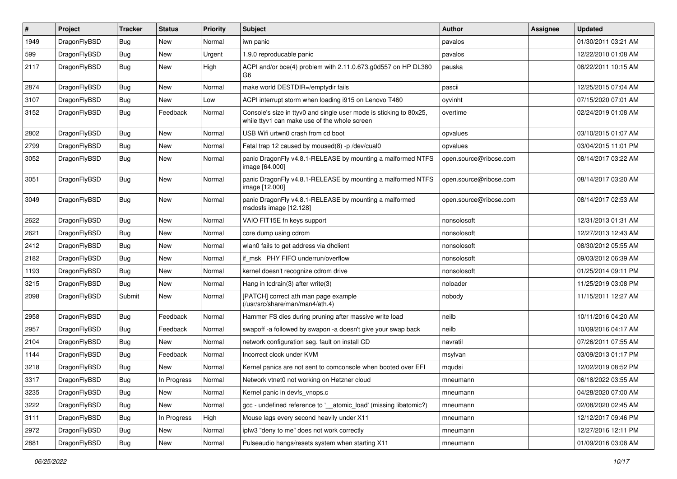| $\sharp$ | Project      | <b>Tracker</b> | <b>Status</b> | <b>Priority</b> | Subject                                                                                                            | <b>Author</b>          | Assignee | <b>Updated</b>      |
|----------|--------------|----------------|---------------|-----------------|--------------------------------------------------------------------------------------------------------------------|------------------------|----------|---------------------|
| 1949     | DragonFlyBSD | Bug            | <b>New</b>    | Normal          | iwn panic                                                                                                          | pavalos                |          | 01/30/2011 03:21 AM |
| 599      | DragonFlyBSD | Bug            | <b>New</b>    | Urgent          | 1.9.0 reproducable panic                                                                                           | pavalos                |          | 12/22/2010 01:08 AM |
| 2117     | DragonFlyBSD | <b>Bug</b>     | <b>New</b>    | High            | ACPI and/or bce(4) problem with 2.11.0.673.g0d557 on HP DL380<br>G6                                                | pauska                 |          | 08/22/2011 10:15 AM |
| 2874     | DragonFlyBSD | Bug            | <b>New</b>    | Normal          | make world DESTDIR=/emptydir fails                                                                                 | pascii                 |          | 12/25/2015 07:04 AM |
| 3107     | DragonFlyBSD | <b>Bug</b>     | New           | Low             | ACPI interrupt storm when loading i915 on Lenovo T460                                                              | oyvinht                |          | 07/15/2020 07:01 AM |
| 3152     | DragonFlyBSD | <b>Bug</b>     | Feedback      | Normal          | Console's size in ttyv0 and single user mode is sticking to 80x25,<br>while ttyv1 can make use of the whole screen | overtime               |          | 02/24/2019 01:08 AM |
| 2802     | DragonFlyBSD | Bug            | <b>New</b>    | Normal          | USB Wifi urtwn0 crash from cd boot                                                                                 | opvalues               |          | 03/10/2015 01:07 AM |
| 2799     | DragonFlyBSD | Bug            | <b>New</b>    | Normal          | Fatal trap 12 caused by moused(8) -p /dev/cual0                                                                    | opvalues               |          | 03/04/2015 11:01 PM |
| 3052     | DragonFlyBSD | Bug            | <b>New</b>    | Normal          | panic DragonFly v4.8.1-RELEASE by mounting a malformed NTFS<br>image [64.000]                                      | open.source@ribose.com |          | 08/14/2017 03:22 AM |
| 3051     | DragonFlyBSD | <b>Bug</b>     | New           | Normal          | panic DragonFly v4.8.1-RELEASE by mounting a malformed NTFS<br>image [12.000]                                      | open.source@ribose.com |          | 08/14/2017 03:20 AM |
| 3049     | DragonFlyBSD | Bug            | <b>New</b>    | Normal          | panic DragonFly v4.8.1-RELEASE by mounting a malformed<br>msdosfs image [12.128]                                   | open.source@ribose.com |          | 08/14/2017 02:53 AM |
| 2622     | DragonFlyBSD | Bug            | <b>New</b>    | Normal          | VAIO FIT15E fn keys support                                                                                        | nonsolosoft            |          | 12/31/2013 01:31 AM |
| 2621     | DragonFlyBSD | <b>Bug</b>     | <b>New</b>    | Normal          | core dump using cdrom                                                                                              | nonsolosoft            |          | 12/27/2013 12:43 AM |
| 2412     | DragonFlyBSD | <b>Bug</b>     | New           | Normal          | wlan0 fails to get address via dhclient                                                                            | nonsolosoft            |          | 08/30/2012 05:55 AM |
| 2182     | DragonFlyBSD | <b>Bug</b>     | New           | Normal          | if msk PHY FIFO underrun/overflow                                                                                  | nonsolosoft            |          | 09/03/2012 06:39 AM |
| 1193     | DragonFlyBSD | Bug            | <b>New</b>    | Normal          | kernel doesn't recognize cdrom drive                                                                               | nonsolosoft            |          | 01/25/2014 09:11 PM |
| 3215     | DragonFlyBSD | Bug            | <b>New</b>    | Normal          | Hang in tcdrain(3) after write(3)                                                                                  | noloader               |          | 11/25/2019 03:08 PM |
| 2098     | DragonFlyBSD | Submit         | New           | Normal          | [PATCH] correct ath man page example<br>(/usr/src/share/man/man4/ath.4)                                            | nobody                 |          | 11/15/2011 12:27 AM |
| 2958     | DragonFlyBSD | Bug            | Feedback      | Normal          | Hammer FS dies during pruning after massive write load                                                             | neilb                  |          | 10/11/2016 04:20 AM |
| 2957     | DragonFlyBSD | Bug            | Feedback      | Normal          | swapoff -a followed by swapon -a doesn't give your swap back                                                       | neilb                  |          | 10/09/2016 04:17 AM |
| 2104     | DragonFlyBSD | <b>Bug</b>     | <b>New</b>    | Normal          | network configuration seg. fault on install CD                                                                     | navratil               |          | 07/26/2011 07:55 AM |
| 1144     | DragonFlyBSD | <b>Bug</b>     | Feedback      | Normal          | Incorrect clock under KVM                                                                                          | msylvan                |          | 03/09/2013 01:17 PM |
| 3218     | DragonFlyBSD | Bug            | <b>New</b>    | Normal          | Kernel panics are not sent to comconsole when booted over EFI                                                      | mqudsi                 |          | 12/02/2019 08:52 PM |
| 3317     | DragonFlyBSD | Bug            | In Progress   | Normal          | Network vtnet0 not working on Hetzner cloud                                                                        | mneumann               |          | 06/18/2022 03:55 AM |
| 3235     | DragonFlyBSD | Bug            | <b>New</b>    | Normal          | Kernel panic in devfs_vnops.c                                                                                      | mneumann               |          | 04/28/2020 07:00 AM |
| 3222     | DragonFlyBSD | Bug            | New           | Normal          | gcc - undefined reference to ' atomic load' (missing libatomic?)                                                   | mneumann               |          | 02/08/2020 02:45 AM |
| 3111     | DragonFlyBSD | <b>Bug</b>     | In Progress   | High            | Mouse lags every second heavily under X11                                                                          | mneumann               |          | 12/12/2017 09:46 PM |
| 2972     | DragonFlyBSD | <b>Bug</b>     | New           | Normal          | ipfw3 "deny to me" does not work correctly                                                                         | mneumann               |          | 12/27/2016 12:11 PM |
| 2881     | DragonFlyBSD | <b>Bug</b>     | New           | Normal          | Pulseaudio hangs/resets system when starting X11                                                                   | mneumann               |          | 01/09/2016 03:08 AM |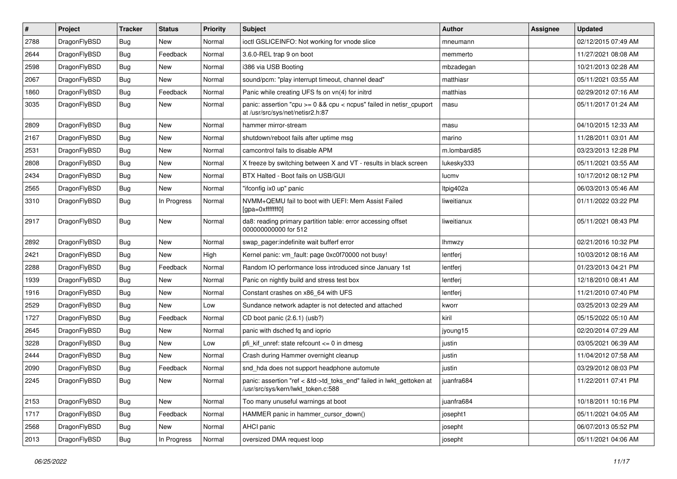| $\vert$ # | Project      | <b>Tracker</b> | <b>Status</b> | <b>Priority</b> | <b>Subject</b>                                                                                             | Author        | Assignee | <b>Updated</b>      |
|-----------|--------------|----------------|---------------|-----------------|------------------------------------------------------------------------------------------------------------|---------------|----------|---------------------|
| 2788      | DragonFlyBSD | Bug            | <b>New</b>    | Normal          | ioctl GSLICEINFO: Not working for vnode slice                                                              | mneumann      |          | 02/12/2015 07:49 AM |
| 2644      | DragonFlyBSD | <b>Bug</b>     | Feedback      | Normal          | 3.6.0-REL trap 9 on boot                                                                                   | memmerto      |          | 11/27/2021 08:08 AM |
| 2598      | DragonFlyBSD | <b>Bug</b>     | <b>New</b>    | Normal          | i386 via USB Booting                                                                                       | mbzadegan     |          | 10/21/2013 02:28 AM |
| 2067      | DragonFlyBSD | Bug            | <b>New</b>    | Normal          | sound/pcm: "play interrupt timeout, channel dead"                                                          | matthiasr     |          | 05/11/2021 03:55 AM |
| 1860      | DragonFlyBSD | <b>Bug</b>     | Feedback      | Normal          | Panic while creating UFS fs on vn(4) for initrd                                                            | matthias      |          | 02/29/2012 07:16 AM |
| 3035      | DragonFlyBSD | Bug            | New           | Normal          | panic: assertion "cpu >= 0 && cpu < ncpus" failed in netisr_cpuport<br>at /usr/src/sys/net/netisr2.h:87    | masu          |          | 05/11/2017 01:24 AM |
| 2809      | DragonFlyBSD | Bug            | <b>New</b>    | Normal          | hammer mirror-stream                                                                                       | masu          |          | 04/10/2015 12:33 AM |
| 2167      | DragonFlyBSD | <b>Bug</b>     | <b>New</b>    | Normal          | shutdown/reboot fails after uptime msg                                                                     | marino        |          | 11/28/2011 03:01 AM |
| 2531      | DragonFlyBSD | <b>Bug</b>     | <b>New</b>    | Normal          | camcontrol fails to disable APM                                                                            | m.lombardi85  |          | 03/23/2013 12:28 PM |
| 2808      | DragonFlyBSD | <b>Bug</b>     | <b>New</b>    | Normal          | X freeze by switching between X and VT - results in black screen                                           | lukesky333    |          | 05/11/2021 03:55 AM |
| 2434      | DragonFlyBSD | Bug            | <b>New</b>    | Normal          | BTX Halted - Boot fails on USB/GUI                                                                         | lucmv         |          | 10/17/2012 08:12 PM |
| 2565      | DragonFlyBSD | <b>Bug</b>     | <b>New</b>    | Normal          | "ifconfig ix0 up" panic                                                                                    | ltpig402a     |          | 06/03/2013 05:46 AM |
| 3310      | DragonFlyBSD | Bug            | In Progress   | Normal          | NVMM+QEMU fail to boot with UEFI: Mem Assist Failed<br>[gpa=0xfffffff0]                                    | liweitianux   |          | 01/11/2022 03:22 PM |
| 2917      | DragonFlyBSD | Bug            | New           | Normal          | da8: reading primary partition table: error accessing offset<br>000000000000 for 512                       | liweitianux   |          | 05/11/2021 08:43 PM |
| 2892      | DragonFlyBSD | <b>Bug</b>     | <b>New</b>    | Normal          | swap_pager:indefinite wait bufferf error                                                                   | <b>Ihmwzy</b> |          | 02/21/2016 10:32 PM |
| 2421      | DragonFlyBSD | <b>Bug</b>     | <b>New</b>    | High            | Kernel panic: vm fault: page 0xc0f70000 not busy!                                                          | lentferj      |          | 10/03/2012 08:16 AM |
| 2288      | DragonFlyBSD | Bug            | Feedback      | Normal          | Random IO performance loss introduced since January 1st                                                    | lentferj      |          | 01/23/2013 04:21 PM |
| 1939      | DragonFlyBSD | <b>Bug</b>     | <b>New</b>    | Normal          | Panic on nightly build and stress test box                                                                 | lentferj      |          | 12/18/2010 08:41 AM |
| 1916      | DragonFlyBSD | <b>Bug</b>     | <b>New</b>    | Normal          | Constant crashes on x86_64 with UFS                                                                        | lentferj      |          | 11/21/2010 07:40 PM |
| 2529      | DragonFlyBSD | <b>Bug</b>     | <b>New</b>    | Low             | Sundance network adapter is not detected and attached                                                      | kworr         |          | 03/25/2013 02:29 AM |
| 1727      | DragonFlyBSD | <b>Bug</b>     | Feedback      | Normal          | CD boot panic (2.6.1) (usb?)                                                                               | kiril         |          | 05/15/2022 05:10 AM |
| 2645      | DragonFlyBSD | Bug            | <b>New</b>    | Normal          | panic with dsched fq and ioprio                                                                            | jyoung15      |          | 02/20/2014 07:29 AM |
| 3228      | DragonFlyBSD | Bug            | <b>New</b>    | Low             | pfi_kif_unref: state refcount <= 0 in dmesg                                                                | justin        |          | 03/05/2021 06:39 AM |
| 2444      | DragonFlyBSD | <b>Bug</b>     | <b>New</b>    | Normal          | Crash during Hammer overnight cleanup                                                                      | justin        |          | 11/04/2012 07:58 AM |
| 2090      | DragonFlyBSD | Bug            | Feedback      | Normal          | snd_hda does not support headphone automute                                                                | justin        |          | 03/29/2012 08:03 PM |
| 2245      | DragonFlyBSD | Bug            | <b>New</b>    | Normal          | panic: assertion "ref < &td->td_toks_end" failed in lwkt_gettoken at<br>/usr/src/sys/kern/lwkt_token.c:588 | juanfra684    |          | 11/22/2011 07:41 PM |
| 2153      | DragonFlyBSD | <b>Bug</b>     | New           | Normal          | Too many unuseful warnings at boot                                                                         | juanfra684    |          | 10/18/2011 10:16 PM |
| 1717      | DragonFlyBSD | <b>Bug</b>     | Feedback      | Normal          | HAMMER panic in hammer_cursor_down()                                                                       | josepht1      |          | 05/11/2021 04:05 AM |
| 2568      | DragonFlyBSD | <b>Bug</b>     | New           | Normal          | AHCI panic                                                                                                 | josepht       |          | 06/07/2013 05:52 PM |
| 2013      | DragonFlyBSD | <b>Bug</b>     | In Progress   | Normal          | oversized DMA request loop                                                                                 | josepht       |          | 05/11/2021 04:06 AM |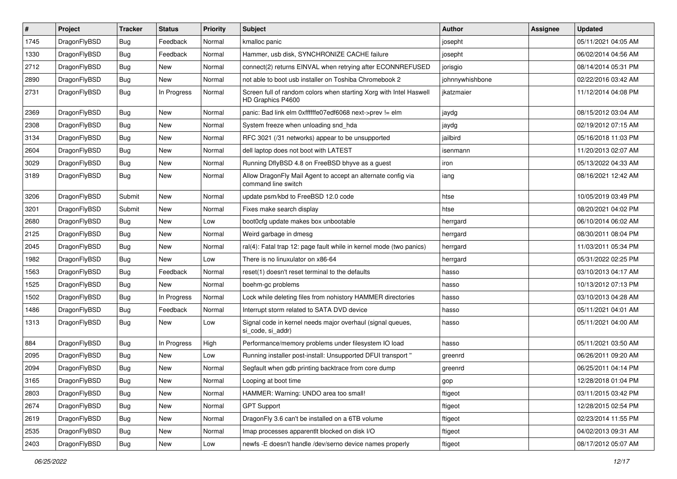| #    | Project      | <b>Tracker</b> | <b>Status</b> | <b>Priority</b> | Subject                                                                                 | Author          | Assignee | <b>Updated</b>      |
|------|--------------|----------------|---------------|-----------------|-----------------------------------------------------------------------------------------|-----------------|----------|---------------------|
| 1745 | DragonFlyBSD | Bug            | Feedback      | Normal          | kmalloc panic                                                                           | josepht         |          | 05/11/2021 04:05 AM |
| 1330 | DragonFlyBSD | Bug            | Feedback      | Normal          | Hammer, usb disk, SYNCHRONIZE CACHE failure                                             | josepht         |          | 06/02/2014 04:56 AM |
| 2712 | DragonFlyBSD | Bug            | New           | Normal          | connect(2) returns EINVAL when retrying after ECONNREFUSED                              | jorisgio        |          | 08/14/2014 05:31 PM |
| 2890 | DragonFlyBSD | Bug            | New           | Normal          | not able to boot usb installer on Toshiba Chromebook 2                                  | johnnywhishbone |          | 02/22/2016 03:42 AM |
| 2731 | DragonFlyBSD | Bug            | In Progress   | Normal          | Screen full of random colors when starting Xorg with Intel Haswell<br>HD Graphics P4600 | jkatzmaier      |          | 11/12/2014 04:08 PM |
| 2369 | DragonFlyBSD | Bug            | New           | Normal          | panic: Bad link elm 0xffffffe07edf6068 next->prev != elm                                | jaydg           |          | 08/15/2012 03:04 AM |
| 2308 | DragonFlyBSD | <b>Bug</b>     | New           | Normal          | System freeze when unloading snd_hda                                                    | jaydg           |          | 02/19/2012 07:15 AM |
| 3134 | DragonFlyBSD | Bug            | New           | Normal          | RFC 3021 (/31 networks) appear to be unsupported                                        | jailbird        |          | 05/16/2018 11:03 PM |
| 2604 | DragonFlyBSD | <b>Bug</b>     | <b>New</b>    | Normal          | dell laptop does not boot with LATEST                                                   | isenmann        |          | 11/20/2013 02:07 AM |
| 3029 | DragonFlyBSD | Bug            | New           | Normal          | Running DflyBSD 4.8 on FreeBSD bhyve as a guest                                         | iron            |          | 05/13/2022 04:33 AM |
| 3189 | DragonFlyBSD | Bug            | New           | Normal          | Allow DragonFly Mail Agent to accept an alternate config via<br>command line switch     | iang            |          | 08/16/2021 12:42 AM |
| 3206 | DragonFlyBSD | Submit         | New           | Normal          | update psm/kbd to FreeBSD 12.0 code                                                     | htse            |          | 10/05/2019 03:49 PM |
| 3201 | DragonFlyBSD | Submit         | <b>New</b>    | Normal          | Fixes make search display                                                               | htse            |          | 08/20/2021 04:02 PM |
| 2680 | DragonFlyBSD | <b>Bug</b>     | <b>New</b>    | Low             | boot0cfg update makes box unbootable                                                    | herrgard        |          | 06/10/2014 06:02 AM |
| 2125 | DragonFlyBSD | Bug            | New           | Normal          | Weird garbage in dmesg                                                                  | herrgard        |          | 08/30/2011 08:04 PM |
| 2045 | DragonFlyBSD | Bug            | <b>New</b>    | Normal          | ral(4): Fatal trap 12: page fault while in kernel mode (two panics)                     | herrgard        |          | 11/03/2011 05:34 PM |
| 1982 | DragonFlyBSD | <b>Bug</b>     | New           | Low             | There is no linuxulator on x86-64                                                       | herrgard        |          | 05/31/2022 02:25 PM |
| 1563 | DragonFlyBSD | Bug            | Feedback      | Normal          | reset(1) doesn't reset terminal to the defaults                                         | hasso           |          | 03/10/2013 04:17 AM |
| 1525 | DragonFlyBSD | <b>Bug</b>     | New           | Normal          | boehm-gc problems                                                                       | hasso           |          | 10/13/2012 07:13 PM |
| 1502 | DragonFlyBSD | Bug            | In Progress   | Normal          | Lock while deleting files from nohistory HAMMER directories                             | hasso           |          | 03/10/2013 04:28 AM |
| 1486 | DragonFlyBSD | <b>Bug</b>     | Feedback      | Normal          | Interrupt storm related to SATA DVD device                                              | hasso           |          | 05/11/2021 04:01 AM |
| 1313 | DragonFlyBSD | Bug            | New           | Low             | Signal code in kernel needs major overhaul (signal queues,<br>si code, si addr)         | hasso           |          | 05/11/2021 04:00 AM |
| 884  | DragonFlyBSD | <b>Bug</b>     | In Progress   | High            | Performance/memory problems under filesystem IO load                                    | hasso           |          | 05/11/2021 03:50 AM |
| 2095 | DragonFlyBSD | Bug            | New           | Low             | Running installer post-install: Unsupported DFUI transport "                            | greenrd         |          | 06/26/2011 09:20 AM |
| 2094 | DragonFlyBSD | <b>Bug</b>     | New           | Normal          | Segfault when gdb printing backtrace from core dump                                     | greenrd         |          | 06/25/2011 04:14 PM |
| 3165 | DragonFlyBSD | Bug            | New           | Normal          | Looping at boot time                                                                    | gop             |          | 12/28/2018 01:04 PM |
| 2803 | DragonFlyBSD | Bug            | New           | Normal          | HAMMER: Warning: UNDO area too small!                                                   | ftigeot         |          | 03/11/2015 03:42 PM |
| 2674 | DragonFlyBSD | <b>Bug</b>     | New           | Normal          | <b>GPT Support</b>                                                                      | ftigeot         |          | 12/28/2015 02:54 PM |
| 2619 | DragonFlyBSD | <b>Bug</b>     | New           | Normal          | DragonFly 3.6 can't be installed on a 6TB volume                                        | ftigeot         |          | 02/23/2014 11:55 PM |
| 2535 | DragonFlyBSD | Bug            | New           | Normal          | Imap processes apparentlt blocked on disk I/O                                           | ftigeot         |          | 04/02/2013 09:31 AM |
| 2403 | DragonFlyBSD | <b>Bug</b>     | New           | Low             | newfs -E doesn't handle /dev/serno device names properly                                | ftigeot         |          | 08/17/2012 05:07 AM |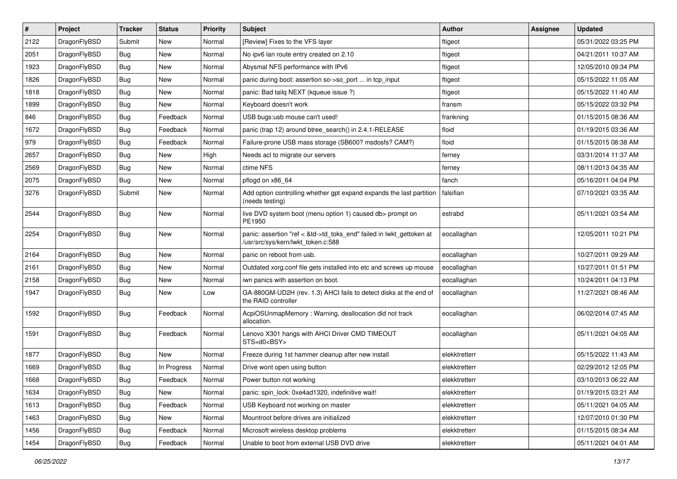| $\sharp$ | Project      | <b>Tracker</b> | <b>Status</b> | <b>Priority</b> | Subject                                                                                                    | <b>Author</b> | Assignee | <b>Updated</b>      |
|----------|--------------|----------------|---------------|-----------------|------------------------------------------------------------------------------------------------------------|---------------|----------|---------------------|
| 2122     | DragonFlyBSD | Submit         | <b>New</b>    | Normal          | [Review] Fixes to the VFS layer                                                                            | ftigeot       |          | 05/31/2022 03:25 PM |
| 2051     | DragonFlyBSD | Bug            | <b>New</b>    | Normal          | No ipv6 lan route entry created on 2.10                                                                    | ftigeot       |          | 04/21/2011 10:37 AM |
| 1923     | DragonFlyBSD | <b>Bug</b>     | <b>New</b>    | Normal          | Abysmal NFS performance with IPv6                                                                          | ftigeot       |          | 12/05/2010 09:34 PM |
| 1826     | DragonFlyBSD | <b>Bug</b>     | New           | Normal          | panic during boot: assertion so->so_port  in tcp_input                                                     | ftigeot       |          | 05/15/2022 11:05 AM |
| 1818     | DragonFlyBSD | Bug            | <b>New</b>    | Normal          | panic: Bad tailq NEXT (kqueue issue ?)                                                                     | ftigeot       |          | 05/15/2022 11:40 AM |
| 1899     | DragonFlyBSD | <b>Bug</b>     | New           | Normal          | Keyboard doesn't work                                                                                      | fransm        |          | 05/15/2022 03:32 PM |
| 846      | DragonFlyBSD | <b>Bug</b>     | Feedback      | Normal          | USB bugs:usb mouse can't used!                                                                             | frankning     |          | 01/15/2015 08:36 AM |
| 1672     | DragonFlyBSD | <b>Bug</b>     | Feedback      | Normal          | panic (trap 12) around btree_search() in 2.4.1-RELEASE                                                     | floid         |          | 01/19/2015 03:36 AM |
| 979      | DragonFlyBSD | <b>Bug</b>     | Feedback      | Normal          | Failure-prone USB mass storage (SB600? msdosfs? CAM?)                                                      | floid         |          | 01/15/2015 08:38 AM |
| 2657     | DragonFlyBSD | <b>Bug</b>     | <b>New</b>    | High            | Needs acl to migrate our servers                                                                           | ferney        |          | 03/31/2014 11:37 AM |
| 2569     | DragonFlyBSD | <b>Bug</b>     | New           | Normal          | ctime NFS                                                                                                  | ferney        |          | 08/11/2013 04:35 AM |
| 2075     | DragonFlyBSD | Bug            | <b>New</b>    | Normal          | pflogd on x86_64                                                                                           | fanch         |          | 05/16/2011 04:04 PM |
| 3276     | DragonFlyBSD | Submit         | New           | Normal          | Add option controlling whether gpt expand expands the last partition<br>(needs testing)                    | falsifian     |          | 07/10/2021 03:35 AM |
| 2544     | DragonFlyBSD | <b>Bug</b>     | New           | Normal          | live DVD system boot (menu option 1) caused db> prompt on<br>PE1950                                        | estrabd       |          | 05/11/2021 03:54 AM |
| 2254     | DragonFlyBSD | Bug            | New           | Normal          | panic: assertion "ref < &td->td_toks_end" failed in lwkt_gettoken at<br>/usr/src/sys/kern/lwkt_token.c:588 | eocallaghan   |          | 12/05/2011 10:21 PM |
| 2164     | DragonFlyBSD | Bug            | <b>New</b>    | Normal          | panic on reboot from usb.                                                                                  | eocallaghan   |          | 10/27/2011 09:29 AM |
| 2161     | DragonFlyBSD | <b>Bug</b>     | New           | Normal          | Outdated xorg.conf file gets installed into etc and screws up mouse                                        | eocallaghan   |          | 10/27/2011 01:51 PM |
| 2158     | DragonFlyBSD | <b>Bug</b>     | <b>New</b>    | Normal          | iwn panics with assertion on boot.                                                                         | eocallaghan   |          | 10/24/2011 04:13 PM |
| 1947     | DragonFlyBSD | <b>Bug</b>     | New           | Low             | GA-880GM-UD2H (rev. 1.3) AHCI fails to detect disks at the end of<br>the RAID controller                   | eocallaghan   |          | 11/27/2021 08:46 AM |
| 1592     | DragonFlyBSD | <b>Bug</b>     | Feedback      | Normal          | AcpiOSUnmapMemory: Warning, deallocation did not track<br>allocation.                                      | eocallaghan   |          | 06/02/2014 07:45 AM |
| 1591     | DragonFlyBSD | <b>Bug</b>     | Feedback      | Normal          | Lenovo X301 hangs with AHCI Driver CMD TIMEOUT<br>$STS=d0<BSY>$                                            | eocallaghan   |          | 05/11/2021 04:05 AM |
| 1877     | DragonFlyBSD | <b>Bug</b>     | <b>New</b>    | Normal          | Freeze during 1st hammer cleanup after new install                                                         | elekktretterr |          | 05/15/2022 11:43 AM |
| 1669     | DragonFlyBSD | <b>Bug</b>     | In Progress   | Normal          | Drive wont open using button                                                                               | elekktretterr |          | 02/29/2012 12:05 PM |
| 1668     | DragonFlyBSD | Bug            | Feedback      | Normal          | Power button not working                                                                                   | elekktretterr |          | 03/10/2013 06:22 AM |
| 1634     | DragonFlyBSD | Bug            | New           | Normal          | panic: spin_lock: 0xe4ad1320, indefinitive wait!                                                           | elekktretterr |          | 01/19/2015 03:21 AM |
| 1613     | DragonFlyBSD | Bug            | Feedback      | Normal          | USB Keyboard not working on master                                                                         | elekktretterr |          | 05/11/2021 04:05 AM |
| 1463     | DragonFlyBSD | <b>Bug</b>     | New           | Normal          | Mountroot before drives are initialized                                                                    | elekktretterr |          | 12/07/2010 01:30 PM |
| 1456     | DragonFlyBSD | <b>Bug</b>     | Feedback      | Normal          | Microsoft wireless desktop problems                                                                        | elekktretterr |          | 01/15/2015 08:34 AM |
| 1454     | DragonFlyBSD | <b>Bug</b>     | Feedback      | Normal          | Unable to boot from external USB DVD drive                                                                 | elekktretterr |          | 05/11/2021 04:01 AM |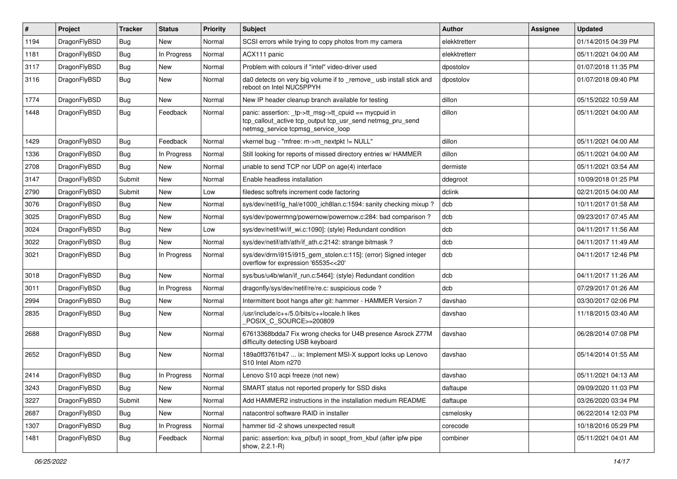| $\vert$ # | Project      | <b>Tracker</b> | <b>Status</b> | <b>Priority</b> | <b>Subject</b>                                                                                                                                            | Author        | Assignee | <b>Updated</b>      |
|-----------|--------------|----------------|---------------|-----------------|-----------------------------------------------------------------------------------------------------------------------------------------------------------|---------------|----------|---------------------|
| 1194      | DragonFlyBSD | Bug            | New           | Normal          | SCSI errors while trying to copy photos from my camera                                                                                                    | elekktretterr |          | 01/14/2015 04:39 PM |
| 1181      | DragonFlyBSD | <b>Bug</b>     | In Progress   | Normal          | ACX111 panic                                                                                                                                              | elekktretterr |          | 05/11/2021 04:00 AM |
| 3117      | DragonFlyBSD | Bug            | New           | Normal          | Problem with colours if "intel" video-driver used                                                                                                         | dpostolov     |          | 01/07/2018 11:35 PM |
| 3116      | DragonFlyBSD | Bug            | New           | Normal          | da0 detects on very big volume if to _remove_ usb install stick and<br>reboot on Intel NUC5PPYH                                                           | dpostolov     |          | 01/07/2018 09:40 PM |
| 1774      | DragonFlyBSD | <b>Bug</b>     | New           | Normal          | New IP header cleanup branch available for testing                                                                                                        | dillon        |          | 05/15/2022 10:59 AM |
| 1448      | DragonFlyBSD | Bug            | Feedback      | Normal          | panic: assertion: _tp->tt_msg->tt_cpuid == mycpuid in<br>tcp_callout_active tcp_output tcp_usr_send netmsg_pru_send<br>netmsg_service tcpmsg_service_loop | dillon        |          | 05/11/2021 04:00 AM |
| 1429      | DragonFlyBSD | Bug            | Feedback      | Normal          | vkernel bug - "mfree: m->m_nextpkt != NULL"                                                                                                               | dillon        |          | 05/11/2021 04:00 AM |
| 1336      | DragonFlyBSD | <b>Bug</b>     | In Progress   | Normal          | Still looking for reports of missed directory entries w/ HAMMER                                                                                           | dillon        |          | 05/11/2021 04:00 AM |
| 2708      | DragonFlyBSD | Bug            | <b>New</b>    | Normal          | unable to send TCP nor UDP on age(4) interface                                                                                                            | dermiste      |          | 05/11/2021 03:54 AM |
| 3147      | DragonFlyBSD | Submit         | <b>New</b>    | Normal          | Enable headless installation                                                                                                                              | ddegroot      |          | 10/09/2018 01:25 PM |
| 2790      | DragonFlyBSD | Submit         | New           | Low             | filedesc softrefs increment code factoring                                                                                                                | dclink        |          | 02/21/2015 04:00 AM |
| 3076      | DragonFlyBSD | Bug            | <b>New</b>    | Normal          | sys/dev/netif/ig_hal/e1000_ich8lan.c:1594: sanity checking mixup?                                                                                         | dcb           |          | 10/11/2017 01:58 AM |
| 3025      | DragonFlyBSD | <b>Bug</b>     | New           | Normal          | sys/dev/powermng/powernow/powernow.c:284: bad comparison?                                                                                                 | dcb           |          | 09/23/2017 07:45 AM |
| 3024      | DragonFlyBSD | Bug            | <b>New</b>    | Low             | sys/dev/netif/wi/if_wi.c:1090]: (style) Redundant condition                                                                                               | dcb           |          | 04/11/2017 11:56 AM |
| 3022      | DragonFlyBSD | Bug            | New           | Normal          | sys/dev/netif/ath/ath/if_ath.c:2142: strange bitmask?                                                                                                     | dcb           |          | 04/11/2017 11:49 AM |
| 3021      | DragonFlyBSD | Bug            | In Progress   | Normal          | sys/dev/drm/i915/i915_gem_stolen.c:115]: (error) Signed integer<br>overflow for expression '65535<<20'                                                    | dcb           |          | 04/11/2017 12:46 PM |
| 3018      | DragonFlyBSD | <b>Bug</b>     | New           | Normal          | sys/bus/u4b/wlan/if_run.c:5464]: (style) Redundant condition                                                                                              | dcb           |          | 04/11/2017 11:26 AM |
| 3011      | DragonFlyBSD | <b>Bug</b>     | In Progress   | Normal          | dragonfly/sys/dev/netif/re/re.c: suspicious code?                                                                                                         | dcb           |          | 07/29/2017 01:26 AM |
| 2994      | DragonFlyBSD | Bug            | <b>New</b>    | Normal          | Intermittent boot hangs after git: hammer - HAMMER Version 7                                                                                              | davshao       |          | 03/30/2017 02:06 PM |
| 2835      | DragonFlyBSD | Bug            | New           | Normal          | /usr/include/c++/5.0/bits/c++locale.h likes<br>POSIX_C_SOURCE>=200809                                                                                     | davshao       |          | 11/18/2015 03:40 AM |
| 2688      | DragonFlyBSD | Bug            | <b>New</b>    | Normal          | 67613368bdda7 Fix wrong checks for U4B presence Asrock Z77M<br>difficulty detecting USB keyboard                                                          | davshao       |          | 06/28/2014 07:08 PM |
| 2652      | DragonFlyBSD | Bug            | <b>New</b>    | Normal          | 189a0ff3761b47  ix: Implement MSI-X support locks up Lenovo<br>S10 Intel Atom n270                                                                        | davshao       |          | 05/14/2014 01:55 AM |
| 2414      | DragonFlyBSD | <b>Bug</b>     | In Progress   | Normal          | Lenovo S10 acpi freeze (not new)                                                                                                                          | davshao       |          | 05/11/2021 04:13 AM |
| 3243      | DragonFlyBSD | <b>Bug</b>     | New           | Normal          | SMART status not reported properly for SSD disks                                                                                                          | daftaupe      |          | 09/09/2020 11:03 PM |
| 3227      | DragonFlyBSD | Submit         | New           | Normal          | Add HAMMER2 instructions in the installation medium README                                                                                                | daftaupe      |          | 03/26/2020 03:34 PM |
| 2687      | DragonFlyBSD | <b>Bug</b>     | New           | Normal          | natacontrol software RAID in installer                                                                                                                    | csmelosky     |          | 06/22/2014 12:03 PM |
| 1307      | DragonFlyBSD | Bug            | In Progress   | Normal          | hammer tid -2 shows unexpected result                                                                                                                     | corecode      |          | 10/18/2016 05:29 PM |
| 1481      | DragonFlyBSD | <b>Bug</b>     | Feedback      | Normal          | panic: assertion: kva_p(buf) in soopt_from_kbuf (after ipfw pipe<br>show, 2.2.1-R)                                                                        | combiner      |          | 05/11/2021 04:01 AM |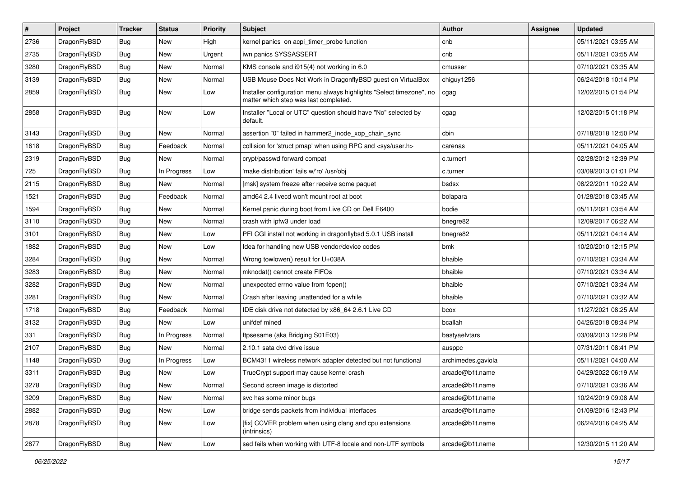| $\vert$ # | Project      | <b>Tracker</b> | <b>Status</b> | <b>Priority</b> | Subject                                                                                                       | Author             | Assignee | <b>Updated</b>      |
|-----------|--------------|----------------|---------------|-----------------|---------------------------------------------------------------------------------------------------------------|--------------------|----------|---------------------|
| 2736      | DragonFlyBSD | Bug            | <b>New</b>    | High            | kernel panics on acpi_timer_probe function                                                                    | cnb                |          | 05/11/2021 03:55 AM |
| 2735      | DragonFlyBSD | <b>Bug</b>     | <b>New</b>    | Urgent          | iwn panics SYSSASSERT                                                                                         | cnb                |          | 05/11/2021 03:55 AM |
| 3280      | DragonFlyBSD | <b>Bug</b>     | <b>New</b>    | Normal          | KMS console and i915(4) not working in 6.0                                                                    | cmusser            |          | 07/10/2021 03:35 AM |
| 3139      | DragonFlyBSD | <b>Bug</b>     | <b>New</b>    | Normal          | USB Mouse Does Not Work in DragonflyBSD guest on VirtualBox                                                   | chiguy1256         |          | 06/24/2018 10:14 PM |
| 2859      | DragonFlyBSD | Bug            | <b>New</b>    | Low             | Installer configuration menu always highlights "Select timezone", no<br>matter which step was last completed. | cgag               |          | 12/02/2015 01:54 PM |
| 2858      | DragonFlyBSD | Bug            | <b>New</b>    | Low             | Installer "Local or UTC" question should have "No" selected by<br>default.                                    | cgag               |          | 12/02/2015 01:18 PM |
| 3143      | DragonFlyBSD | Bug            | <b>New</b>    | Normal          | assertion "0" failed in hammer2_inode_xop_chain_sync                                                          | cbin               |          | 07/18/2018 12:50 PM |
| 1618      | DragonFlyBSD | <b>Bug</b>     | Feedback      | Normal          | collision for 'struct pmap' when using RPC and <sys user.h=""></sys>                                          | carenas            |          | 05/11/2021 04:05 AM |
| 2319      | DragonFlyBSD | <b>Bug</b>     | <b>New</b>    | Normal          | crypt/passwd forward compat                                                                                   | c.turner1          |          | 02/28/2012 12:39 PM |
| 725       | DragonFlyBSD | <b>Bug</b>     | In Progress   | Low             | 'make distribution' fails w/'ro' /usr/obj                                                                     | c.turner           |          | 03/09/2013 01:01 PM |
| 2115      | DragonFlyBSD | Bug            | New           | Normal          | [msk] system freeze after receive some paquet                                                                 | bsdsx              |          | 08/22/2011 10:22 AM |
| 1521      | DragonFlyBSD | <b>Bug</b>     | Feedback      | Normal          | amd64 2.4 livecd won't mount root at boot                                                                     | bolapara           |          | 01/28/2018 03:45 AM |
| 1594      | DragonFlyBSD | Bug            | <b>New</b>    | Normal          | Kernel panic during boot from Live CD on Dell E6400                                                           | bodie              |          | 05/11/2021 03:54 AM |
| 3110      | DragonFlyBSD | <b>Bug</b>     | New           | Normal          | crash with ipfw3 under load                                                                                   | bnegre82           |          | 12/09/2017 06:22 AM |
| 3101      | DragonFlyBSD | <b>Bug</b>     | <b>New</b>    | Low             | PFI CGI install not working in dragonflybsd 5.0.1 USB install                                                 | bnegre82           |          | 05/11/2021 04:14 AM |
| 1882      | DragonFlyBSD | Bug            | <b>New</b>    | Low             | Idea for handling new USB vendor/device codes                                                                 | bmk                |          | 10/20/2010 12:15 PM |
| 3284      | DragonFlyBSD | <b>Bug</b>     | New           | Normal          | Wrong towlower() result for U+038A                                                                            | bhaible            |          | 07/10/2021 03:34 AM |
| 3283      | DragonFlyBSD | Bug            | <b>New</b>    | Normal          | mknodat() cannot create FIFOs                                                                                 | bhaible            |          | 07/10/2021 03:34 AM |
| 3282      | DragonFlyBSD | <b>Bug</b>     | New           | Normal          | unexpected errno value from fopen()                                                                           | bhaible            |          | 07/10/2021 03:34 AM |
| 3281      | DragonFlyBSD | <b>Bug</b>     | <b>New</b>    | Normal          | Crash after leaving unattended for a while                                                                    | bhaible            |          | 07/10/2021 03:32 AM |
| 1718      | DragonFlyBSD | <b>Bug</b>     | Feedback      | Normal          | IDE disk drive not detected by x86_64 2.6.1 Live CD                                                           | bcox               |          | 11/27/2021 08:25 AM |
| 3132      | DragonFlyBSD | <b>Bug</b>     | <b>New</b>    | Low             | unifdef mined                                                                                                 | bcallah            |          | 04/26/2018 08:34 PM |
| 331       | DragonFlyBSD | Bug            | In Progress   | Normal          | ftpsesame (aka Bridging S01E03)                                                                               | bastyaelvtars      |          | 03/09/2013 12:28 PM |
| 2107      | DragonFlyBSD | <b>Bug</b>     | New           | Normal          | 2.10.1 sata dvd drive issue                                                                                   | ausppc             |          | 07/31/2011 08:41 PM |
| 1148      | DragonFlyBSD | Bug            | In Progress   | Low             | BCM4311 wireless network adapter detected but not functional                                                  | archimedes.gaviola |          | 05/11/2021 04:00 AM |
| 3311      | DragonFlyBSD | Bug            | <b>New</b>    | Low             | TrueCrypt support may cause kernel crash                                                                      | arcade@b1t.name    |          | 04/29/2022 06:19 AM |
| 3278      | DragonFlyBSD | <b>Bug</b>     | New           | Normal          | Second screen image is distorted                                                                              | arcade@b1t.name    |          | 07/10/2021 03:36 AM |
| 3209      | DragonFlyBSD | <b>Bug</b>     | New           | Normal          | svc has some minor bugs                                                                                       | arcade@b1t.name    |          | 10/24/2019 09:08 AM |
| 2882      | DragonFlyBSD | <b>Bug</b>     | New           | Low             | bridge sends packets from individual interfaces                                                               | arcade@b1t.name    |          | 01/09/2016 12:43 PM |
| 2878      | DragonFlyBSD | <b>Bug</b>     | New           | Low             | [fix] CCVER problem when using clang and cpu extensions<br>(intrinsics)                                       | arcade@b1t.name    |          | 06/24/2016 04:25 AM |
| 2877      | DragonFlyBSD | <b>Bug</b>     | New           | Low             | sed fails when working with UTF-8 locale and non-UTF symbols                                                  | arcade@b1t.name    |          | 12/30/2015 11:20 AM |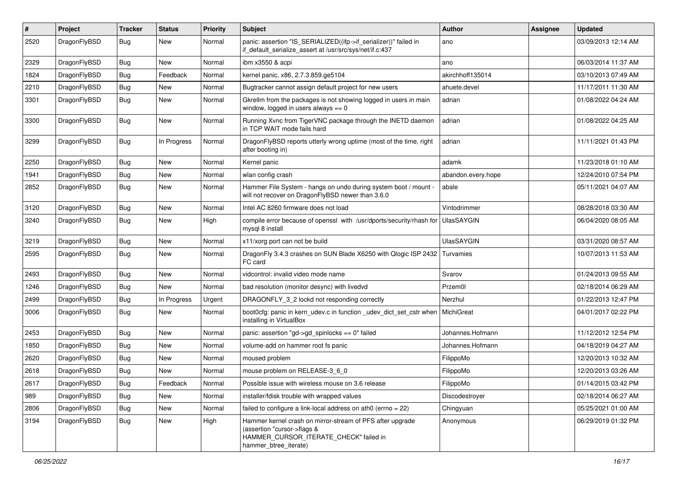| #    | Project      | <b>Tracker</b> | <b>Status</b> | <b>Priority</b> | <b>Subject</b>                                                                                                                                              | Author             | Assignee | <b>Updated</b>      |
|------|--------------|----------------|---------------|-----------------|-------------------------------------------------------------------------------------------------------------------------------------------------------------|--------------------|----------|---------------------|
| 2520 | DragonFlyBSD | <b>Bug</b>     | <b>New</b>    | Normal          | panic: assertion "IS_SERIALIZED((ifp->if_serializer))" failed in<br>if_default_serialize_assert at /usr/src/sys/net/if.c:437                                | ano                |          | 03/09/2013 12:14 AM |
| 2329 | DragonFlyBSD | <b>Bug</b>     | New           | Normal          | ibm x3550 & acpi                                                                                                                                            | ano                |          | 06/03/2014 11:37 AM |
| 1824 | DragonFlyBSD | <b>Bug</b>     | Feedback      | Normal          | kernel panic, x86, 2.7.3.859.ge5104                                                                                                                         | akirchhoff135014   |          | 03/10/2013 07:49 AM |
| 2210 | DragonFlyBSD | Bug            | New           | Normal          | Bugtracker cannot assign default project for new users                                                                                                      | ahuete.devel       |          | 11/17/2011 11:30 AM |
| 3301 | DragonFlyBSD | <b>Bug</b>     | New           | Normal          | Gkrellm from the packages is not showing logged in users in main<br>window, logged in users always $== 0$                                                   | adrian             |          | 01/08/2022 04:24 AM |
| 3300 | DragonFlyBSD | Bug            | <b>New</b>    | Normal          | Running Xvnc from TigerVNC package through the INETD daemon<br>in TCP WAIT mode fails hard                                                                  | adrian             |          | 01/08/2022 04:25 AM |
| 3299 | DragonFlyBSD | Bug            | In Progress   | Normal          | DragonFlyBSD reports utterly wrong uptime (most of the time, right<br>after booting in)                                                                     | adrian             |          | 11/11/2021 01:43 PM |
| 2250 | DragonFlyBSD | Bug            | New           | Normal          | Kernel panic                                                                                                                                                | adamk              |          | 11/23/2018 01:10 AM |
| 1941 | DragonFlyBSD | Bug            | <b>New</b>    | Normal          | wlan config crash                                                                                                                                           | abandon.every.hope |          | 12/24/2010 07:54 PM |
| 2852 | DragonFlyBSD | <b>Bug</b>     | New           | Normal          | Hammer File System - hangs on undo during system boot / mount -<br>will not recover on DragonFlyBSD newer than 3.6.0                                        | abale              |          | 05/11/2021 04:07 AM |
| 3120 | DragonFlyBSD | Bug            | <b>New</b>    | Normal          | Intel AC 8260 firmware does not load                                                                                                                        | Vintodrimmer       |          | 08/28/2018 03:30 AM |
| 3240 | DragonFlyBSD | <b>Bug</b>     | <b>New</b>    | High            | compile error because of openssl with /usr/dports/security/rhash for<br>mysql 8 install                                                                     | <b>UlasSAYGIN</b>  |          | 06/04/2020 08:05 AM |
| 3219 | DragonFlyBSD | <b>Bug</b>     | New           | Normal          | x11/xorg port can not be build                                                                                                                              | <b>UlasSAYGIN</b>  |          | 03/31/2020 08:57 AM |
| 2595 | DragonFlyBSD | <b>Bug</b>     | New           | Normal          | DragonFly 3.4.3 crashes on SUN Blade X6250 with Qlogic ISP 2432<br>FC card                                                                                  | Turvamies          |          | 10/07/2013 11:53 AM |
| 2493 | DragonFlyBSD | Bug            | New           | Normal          | vidcontrol: invalid video mode name                                                                                                                         | Svarov             |          | 01/24/2013 09:55 AM |
| 1246 | DragonFlyBSD | <b>Bug</b>     | New           | Normal          | bad resolution (monitor desync) with livedvd                                                                                                                | Przem0l            |          | 02/18/2014 06:29 AM |
| 2499 | DragonFlyBSD | <b>Bug</b>     | In Progress   | Urgent          | DRAGONFLY_3_2 lockd not responding correctly                                                                                                                | Nerzhul            |          | 01/22/2013 12:47 PM |
| 3006 | DragonFlyBSD | <b>Bug</b>     | <b>New</b>    | Normal          | boot0cfg: panic in kern_udev.c in function _udev_dict_set_cstr when<br>installing in VirtualBox                                                             | <b>MichiGreat</b>  |          | 04/01/2017 02:22 PM |
| 2453 | DragonFlyBSD | Bug            | New           | Normal          | panic: assertion "gd->gd_spinlocks == 0" failed                                                                                                             | Johannes.Hofmann   |          | 11/12/2012 12:54 PM |
| 1850 | DragonFlyBSD | <b>Bug</b>     | New           | Normal          | volume-add on hammer root fs panic                                                                                                                          | Johannes.Hofmann   |          | 04/18/2019 04:27 AM |
| 2620 | DragonFlyBSD | Bug            | New           | Normal          | moused problem                                                                                                                                              | FilippoMo          |          | 12/20/2013 10:32 AM |
| 2618 | DragonFlyBSD | <b>Bug</b>     | New           | Normal          | mouse problem on RELEASE-3 6 0                                                                                                                              | FilippoMo          |          | 12/20/2013 03:26 AM |
| 2617 | DragonFlyBSD | <b>Bug</b>     | Feedback      | Normal          | Possible issue with wireless mouse on 3.6 release                                                                                                           | FilippoMo          |          | 01/14/2015 03:42 PM |
| 989  | DragonFlyBSD | Bug            | New           | Normal          | installer/fdisk trouble with wrapped values                                                                                                                 | Discodestroyer     |          | 02/18/2014 06:27 AM |
| 2806 | DragonFlyBSD | <b>Bug</b>     | New           | Normal          | failed to configure a link-local address on ath0 (errno = 22)                                                                                               | Chingyuan          |          | 05/25/2021 01:00 AM |
| 3194 | DragonFlyBSD | Bug            | New           | High            | Hammer kernel crash on mirror-stream of PFS after upgrade<br>(assertion "cursor->flags &<br>HAMMER_CURSOR_ITERATE_CHECK" failed in<br>hammer_btree_iterate) | Anonymous          |          | 06/29/2019 01:32 PM |